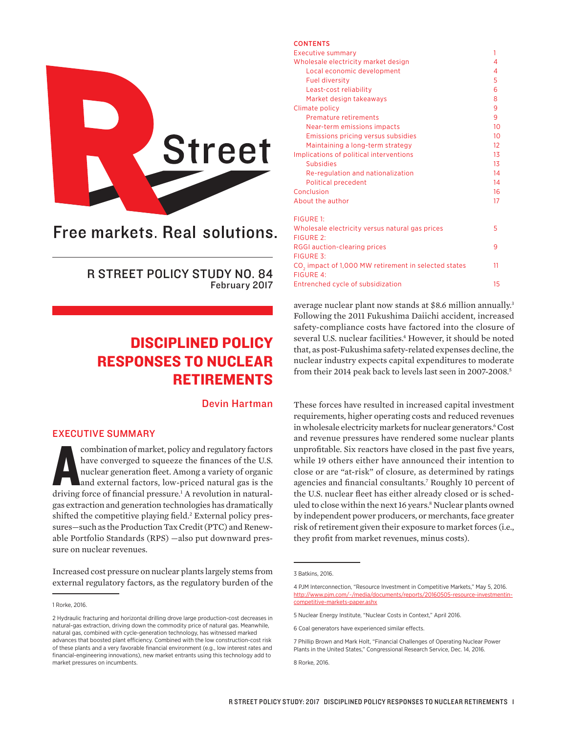

# Free markets. Real solutions.

R STREET POLICY STUDY NO. 84 February 2017

# DISCIPLINED POLICY RESPONSES TO NUCLEAR RETIREMENTS

# Devin Hartman

# EXECUTIVE SUMMARY

combination of market, policy and regulatory factors<br>have converged to squeeze the finances of the U.S.<br>nuclear generation fleet. Among a variety of organic<br>and external factors, low-priced natural gas is the<br>driving force have converged to squeeze the finances of the U.S. nuclear generation fleet. Among a variety of organic and external factors, low-priced natural gas is the gas extraction and generation technologies has dramatically shifted the competitive playing field.<sup>2</sup> External policy pressures—such as the Production Tax Credit (PTC) and Renewable Portfolio Standards (RPS) —also put downward pressure on nuclear revenues.

Increased cost pressure on nuclear plants largely stems from external regulatory factors, as the regulatory burden of the

## Executive summary 1 Wholesale electricity market design and the state of 4 Local economic development 4 Fuel diversity 5 Least-cost reliability 6 Market design takeaways and a state of the SN and SN and SN and SN and SN and SN and SN and SN and SN and SN a Climate policy and the set of the set of the set of the set of the set of the set of the set of the set of the set of the set of the set of the set of the set of the set of the set of the set of the set of the set of the s Premature retirements and the set of the set of the set of the set of the set of the set of the set of the set of the set of the set of the set of the set of the set of the set of the set of the set of the set of the set o Near-term emissions impacts 10 Emissions pricing versus subsidies 10 Maintaining a long-term strategy metal and the 12 Implications of political interventions 13 Subsidies 13 Re-regulation and nationalization 14 Political precedent 14 **Conclusion** 16 About the author 17 FIGURE 1: Wholesale electricity versus natural gas prices 5 FIGURE 2: RGGI auction-clearing prices and the state of the state of the state of the state of the state of the state of the state of the state of the state of the state of the state of the state of the state of the state of the sta FIGURE 3:  $\mathsf{CO}_2$  impact of 1,000 MW retirement in selected states  $\hspace{1cm}$  11 FIGURE 4: Entrenched cycle of subsidization 15

average nuclear plant now stands at \$8.6 million annually.<sup>3</sup> Following the 2011 Fukushima Daiichi accident, increased safety-compliance costs have factored into the closure of several U.S. nuclear facilities.<sup>4</sup> However, it should be noted that, as post-Fukushima safety-related expenses decline, the nuclear industry expects capital expenditures to moderate from their 2014 peak back to levels last seen in 2007-2008.5

These forces have resulted in increased capital investment requirements, higher operating costs and reduced revenues in wholesale electricity markets for nuclear generators.<sup>6</sup> Cost and revenue pressures have rendered some nuclear plants unprofitable. Six reactors have closed in the past five years, while 19 others either have announced their intention to close or are "at-risk" of closure, as determined by ratings agencies and financial consultants.7 Roughly 10 percent of the U.S. nuclear fleet has either already closed or is scheduled to close within the next 16 years.<sup>8</sup> Nuclear plants owned by independent power producers, or merchants, face greater risk of retirement given their exposure to market forces (i.e., they profit from market revenues, minus costs).

**CONTENTS** 

<sup>1</sup> Rorke, 2016.

<sup>2</sup> Hydraulic fracturing and horizontal drilling drove large production-cost decreases in natural-gas extraction, driving down the commodity price of natural gas. Meanwhile, natural gas, combined with cycle-generation technology, has witnessed marked advances that boosted plant efficiency. Combined with the low construction-cost risk of these plants and a very favorable financial environment (e.g., low interest rates and financial-engineering innovations), new market entrants using this technology add to market pressures on incumbents.

<sup>3</sup> Batkins, 2016.

<sup>4</sup> PJM Interconnection, "Resource Investment in Competitive Markets," May 5, 2016. [http://www.pjm.com/~/media/documents/reports/20160505-resource-investmentin](http://www.pjm.com/~/media/documents/reports/20160505-resource-investmentin-competitive-markets-paper.ashx)[competitive-markets-paper.ashx](http://www.pjm.com/~/media/documents/reports/20160505-resource-investmentin-competitive-markets-paper.ashx)

<sup>5</sup> Nuclear Energy Institute, "Nuclear Costs in Context," April 2016.

<sup>6</sup> Coal generators have experienced similar effects.

<sup>7</sup> Phillip Brown and Mark Holt, "Financial Challenges of Operating Nuclear Power Plants in the United States," Congressional Research Service, Dec. 14, 2016.

<sup>8</sup> Rorke, 2016.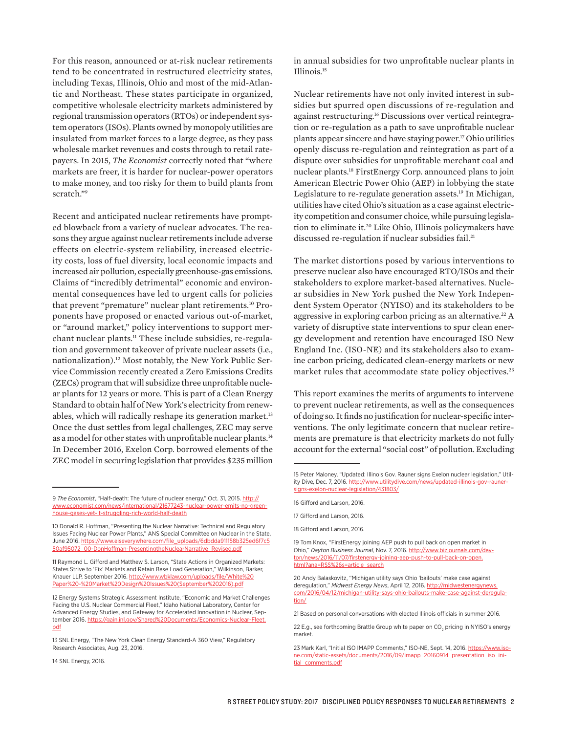For this reason, announced or at-risk nuclear retirements tend to be concentrated in restructured electricity states, including Texas, Illinois, Ohio and most of the mid-Atlantic and Northeast. These states participate in organized, competitive wholesale electricity markets administered by regional transmission operators (RTOs) or independent system operators (ISOs). Plants owned by monopoly utilities are insulated from market forces to a large degree, as they pass wholesale market revenues and costs through to retail ratepayers. In 2015, *The Economist* correctly noted that "where markets are freer, it is harder for nuclear-power operators to make money, and too risky for them to build plants from scratch."9

Recent and anticipated nuclear retirements have prompted blowback from a variety of nuclear advocates. The reasons they argue against nuclear retirements include adverse effects on electric-system reliability, increased electricity costs, loss of fuel diversity, local economic impacts and increased air pollution, especially greenhouse-gas emissions. Claims of "incredibly detrimental" economic and environmental consequences have led to urgent calls for policies that prevent "premature" nuclear plant retirements.<sup>10</sup> Proponents have proposed or enacted various out-of-market, or "around market," policy interventions to support merchant nuclear plants.11 These include subsidies, re-regulation and government takeover of private nuclear assets (i.e., nationalization).12 Most notably, the New York Public Service Commission recently created a Zero Emissions Credits (ZECs) program that will subsidize three unprofitable nuclear plants for 12 years or more. This is part of a Clean Energy Standard to obtain half of New York's electricity from renewables, which will radically reshape its generation market.<sup>13</sup> Once the dust settles from legal challenges, ZEC may serve as a model for other states with unprofitable nuclear plants.<sup>14</sup> In December 2016, Exelon Corp. borrowed elements of the ZEC model in securing legislation that provides \$235 million

Nuclear retirements have not only invited interest in subsidies but spurred open discussions of re-regulation and against restructuring.<sup>16</sup> Discussions over vertical reintegration or re-regulation as a path to save unprofitable nuclear plants appear sincere and have staying power.17 Ohio utilities openly discuss re-regulation and reintegration as part of a dispute over subsidies for unprofitable merchant coal and nuclear plants.18 FirstEnergy Corp. announced plans to join American Electric Power Ohio (AEP) in lobbying the state Legislature to re-regulate generation assets.19 In Michigan, utilities have cited Ohio's situation as a case against electricity competition and consumer choice, while pursuing legislation to eliminate it.20 Like Ohio, Illinois policymakers have discussed re-regulation if nuclear subsidies fail.<sup>21</sup>

The market distortions posed by various interventions to preserve nuclear also have encouraged RTO/ISOs and their stakeholders to explore market-based alternatives. Nuclear subsidies in New York pushed the New York Independent System Operator (NYISO) and its stakeholders to be aggressive in exploring carbon pricing as an alternative.<sup>22</sup> A variety of disruptive state interventions to spur clean energy development and retention have encouraged ISO New England Inc. (ISO-NE) and its stakeholders also to examine carbon pricing, dedicated clean-energy markets or new market rules that accommodate state policy objectives.<sup>23</sup>

This report examines the merits of arguments to intervene to prevent nuclear retirements, as well as the consequences of doing so. It finds no justification for nuclear-specific interventions. The only legitimate concern that nuclear retirements are premature is that electricity markets do not fully account for the external "social cost" of pollution. Excluding

<sup>9</sup> *The Economist*, "Half-death: The future of nuclear energy," Oct. 31, 2015. [http://](http://www.economist.com/news/international/21677243-nuclear-power-emits-no-greenhouse-gases-yet-it-struggling-rich-world-half-death) [www.economist.com/news/international/21677243-nuclear-power-emits-no-green](http://www.economist.com/news/international/21677243-nuclear-power-emits-no-greenhouse-gases-yet-it-struggling-rich-world-half-death)[house-gases-yet-it-struggling-rich-world-half-death](http://www.economist.com/news/international/21677243-nuclear-power-emits-no-greenhouse-gases-yet-it-struggling-rich-world-half-death)

<sup>10</sup> Donald R. Hoffman, "Presenting the Nuclear Narrative: Technical and Regulatory Issues Facing Nuclear Power Plants," ANS Special Committee on Nuclear in the State, June 2016. [https://www.eiseverywhere.com/file\\_uploads/6dbdda911158b325ed6f7c5](https://www.eiseverywhere.com/file_uploads/6dbdda911158b325ed6f7c550af95072_00-DonHoffman-PresentingtheNuclearNarrative_Revised.pdf) [50af95072\\_00-DonHoffman-PresentingtheNuclearNarrative\\_Revised.pdf](https://www.eiseverywhere.com/file_uploads/6dbdda911158b325ed6f7c550af95072_00-DonHoffman-PresentingtheNuclearNarrative_Revised.pdf)

<sup>11</sup> Raymond L. Gifford and Matthew S. Larson, "State Actions in Organized Markets: States Strive to 'Fix' Markets and Retain Base Load Generation," Wilkinson, Barker, Knauer LLP, September 2016. [http://www.wbklaw.com/uploads/file/White%20](http://www.wbklaw.com/uploads/file/White%20Paper%20-%20Market%20Design%20Issues%20(September%202016).pdf) [Paper%20-%20Market%20Design%20Issues%20\(September%202016\).pdf](http://www.wbklaw.com/uploads/file/White%20Paper%20-%20Market%20Design%20Issues%20(September%202016).pdf)

<sup>12</sup> Energy Systems Strategic Assessment Institute, "Economic and Market Challenges Facing the U.S. Nuclear Commercial Fleet," Idaho National Laboratory, Center for Advanced Energy Studies, and Gateway for Accelerated Innovation in Nuclear, September 2016. [https://gain.inl.gov/Shared%20Documents/Economics-Nuclear-Fleet.](https://gain.inl.gov/Shared%20Documents/Economics-Nuclear-Fleet.pdf) [pdf](https://gain.inl.gov/Shared%20Documents/Economics-Nuclear-Fleet.pdf)

<sup>13</sup> SNL Energy, "The New York Clean Energy Standard-A 360 View," Regulatory Research Associates, Aug. 23, 2016.

in annual subsidies for two unprofitable nuclear plants in Illinois.15

<sup>15</sup> Peter Maloney, "Updated: Illinois Gov. Rauner signs Exelon nuclear legislation," Utility Dive, Dec. 7, 2016. [http://www.utilitydive.com/news/updated-illinois-gov-rauner](http://www.utilitydive.com/news/updated-illinois-gov-rauner-signs-exelon-nuclear-legislation/431803/)[signs-exelon-nuclear-legislation/431803/](http://www.utilitydive.com/news/updated-illinois-gov-rauner-signs-exelon-nuclear-legislation/431803/)

<sup>16</sup> Gifford and Larson, 2016.

<sup>17</sup> Gifford and Larson, 2016.

<sup>18</sup> Gifford and Larson, 2016.

<sup>19</sup> Tom Knox, "FirstEnergy joining AEP push to pull back on open market in Ohio," *Dayton Business Journal,* Nov. 7, 2016. [http://www.bizjournals.com/day](http://www.bizjournals.com/dayton/news/2016/11/07/firstenergy-joining-aep-push-to-pull-back-on-open.html?ana=RSS%26s=article_search)[ton/news/2016/11/07/firstenergy-joining-aep-push-to-pull-back-on-open.](http://www.bizjournals.com/dayton/news/2016/11/07/firstenergy-joining-aep-push-to-pull-back-on-open.html?ana=RSS%26s=article_search) [html?ana=RSS%26s=article\\_search](http://www.bizjournals.com/dayton/news/2016/11/07/firstenergy-joining-aep-push-to-pull-back-on-open.html?ana=RSS%26s=article_search)

<sup>20</sup> Andy Balaskovitz, "Michigan utility says Ohio 'bailouts' make case against deregulation," *Midwest Energy News*, April 12, 2016. [http://midwestenergynews.](http://midwestenergynews.com/2016/04/12/michigan-utility-says-ohio-bailouts-make-case-against-deregulation/) [com/2016/04/12/michigan-utility-says-ohio-bailouts-make-case-against-deregula](http://midwestenergynews.com/2016/04/12/michigan-utility-says-ohio-bailouts-make-case-against-deregulation/)[tion/](http://midwestenergynews.com/2016/04/12/michigan-utility-says-ohio-bailouts-make-case-against-deregulation/)

<sup>21</sup> Based on personal conversations with elected Illinois officials in summer 2016.

<sup>22</sup> E.g., see forthcoming Brattle Group white paper on CO<sub>2</sub> pricing in NYISO's energy market.

<sup>23</sup> Mark Karl, "Initial ISO IMAPP Comments," ISO-NE, Sept. 14, 2016. [https://www.iso](https://www.iso-ne.com/static-assets/documents/2016/09/imapp_20160914_presentation_iso_initial_comments.pdf)[ne.com/static-assets/documents/2016/09/imapp\\_20160914\\_presentation\\_iso\\_ini](https://www.iso-ne.com/static-assets/documents/2016/09/imapp_20160914_presentation_iso_initial_comments.pdf)[tial\\_comments.pdf](https://www.iso-ne.com/static-assets/documents/2016/09/imapp_20160914_presentation_iso_initial_comments.pdf)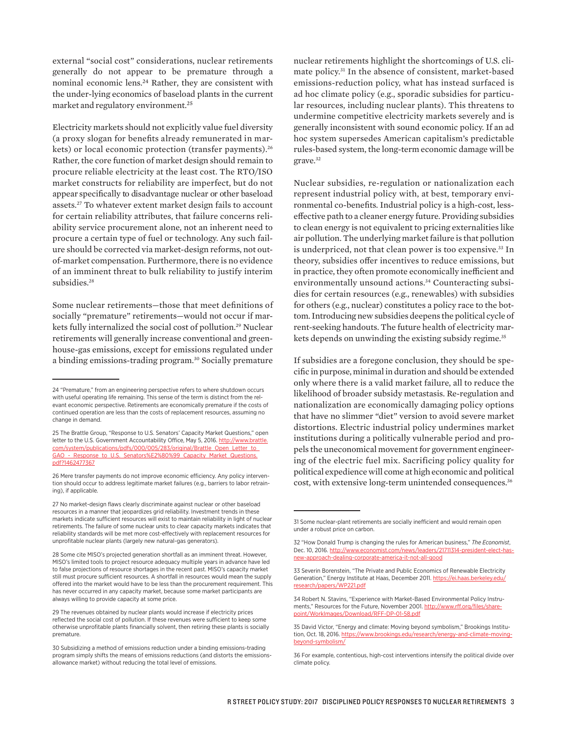external "social cost" considerations, nuclear retirements generally do not appear to be premature through a nominal economic lens.<sup>24</sup> Rather, they are consistent with the under-lying economics of baseload plants in the current market and regulatory environment.<sup>25</sup>

Electricity markets should not explicitly value fuel diversity (a proxy slogan for benefits already remunerated in markets) or local economic protection (transfer payments).<sup>26</sup> Rather, the core function of market design should remain to procure reliable electricity at the least cost. The RTO/ISO market constructs for reliability are imperfect, but do not appear specifically to disadvantage nuclear or other baseload assets.<sup>27</sup> To whatever extent market design fails to account for certain reliability attributes, that failure concerns reliability service procurement alone, not an inherent need to procure a certain type of fuel or technology. Any such failure should be corrected via market-design reforms, not outof-market compensation. Furthermore, there is no evidence of an imminent threat to bulk reliability to justify interim subsidies.<sup>28</sup>

Some nuclear retirements—those that meet definitions of socially "premature" retirements—would not occur if markets fully internalized the social cost of pollution.<sup>29</sup> Nuclear retirements will generally increase conventional and greenhouse-gas emissions, except for emissions regulated under a binding emissions-trading program. <sup>30</sup> Socially premature

nuclear retirements highlight the shortcomings of U.S. climate policy.31 In the absence of consistent, market-based emissions-reduction policy, what has instead surfaced is ad hoc climate policy (e.g., sporadic subsidies for particular resources, including nuclear plants). This threatens to undermine competitive electricity markets severely and is generally inconsistent with sound economic policy. If an ad hoc system supersedes American capitalism's predictable rules-based system, the long-term economic damage will be grave.32

Nuclear subsidies, re-regulation or nationalization each represent industrial policy with, at best, temporary environmental co-benefits. Industrial policy is a high-cost, lesseffective path to a cleaner energy future. Providing subsidies to clean energy is not equivalent to pricing externalities like air pollution. The underlying market failure is that pollution is underpriced, not that clean power is too expensive.<sup>33</sup> In theory, subsidies offer incentives to reduce emissions, but in practice, they often promote economically inefficient and environmentally unsound actions.<sup>34</sup> Counteracting subsidies for certain resources (e.g., renewables) with subsidies for others (e.g., nuclear) constitutes a policy race to the bottom. Introducing new subsidies deepens the political cycle of rent-seeking handouts. The future health of electricity markets depends on unwinding the existing subsidy regime.<sup>35</sup>

If subsidies are a foregone conclusion, they should be specific in purpose, minimal in duration and should be extended only where there is a valid market failure, all to reduce the likelihood of broader subsidy metastasis. Re-regulation and nationalization are economically damaging policy options that have no slimmer "diet" version to avoid severe market distortions. Electric industrial policy undermines market institutions during a politically vulnerable period and propels the uneconomical movement for government engineering of the electric fuel mix. Sacrificing policy quality for political expedience will come at high economic and political cost, with extensive long-term unintended consequences. 36

<sup>24 &</sup>quot;Premature," from an engineering perspective refers to where shutdown occurs with useful operating life remaining. This sense of the term is distinct from the relevant economic perspective. Retirements are economically premature if the costs of continued operation are less than the costs of replacement resources, assuming no change in demand.

<sup>25</sup> The Brattle Group, "Response to U.S. Senators' Capacity Market Questions," open letter to the U.S. Government Accountability Office, May 5, 2016. [http://www.brattle.](http://www.brattle.com/system/publications/pdfs/000/005/283/original/Brattle_Open_Letter_to_GAO_-_Response_to_U.S._Senators%E2%80%99_Capacity_Market_Questions.pdf?1462477367) [com/system/publications/pdfs/000/005/283/original/Brattle\\_Open\\_Letter\\_to\\_](http://www.brattle.com/system/publications/pdfs/000/005/283/original/Brattle_Open_Letter_to_GAO_-_Response_to_U.S._Senators%E2%80%99_Capacity_Market_Questions.pdf?1462477367) GAO - Response to U.S. Senators%E2%80%99 Capacity\_Market\_Questions. [pdf?1462477367](http://www.brattle.com/system/publications/pdfs/000/005/283/original/Brattle_Open_Letter_to_GAO_-_Response_to_U.S._Senators%E2%80%99_Capacity_Market_Questions.pdf?1462477367)

<sup>26</sup> Mere transfer payments do not improve economic efficiency. Any policy intervention should occur to address legitimate market failures (e.g., barriers to labor retraining), if applicable.

<sup>27</sup> No market-design flaws clearly discriminate against nuclear or other baseload resources in a manner that jeopardizes grid reliability. Investment trends in these markets indicate sufficient resources will exist to maintain reliability in light of nuclear retirements. The failure of some nuclear units to clear capacity markets indicates that reliability standards will be met more cost-effectively with replacement resources for unprofitable nuclear plants (largely new natural-gas generators).

<sup>28</sup> Some cite MISO's projected generation shortfall as an imminent threat. However, MISO's limited tools to project resource adequacy multiple years in advance have led to false projections of resource shortages in the recent past. MISO's capacity market still must procure sufficient resources. A shortfall in resources would mean the supply offered into the market would have to be less than the procurement requirement. This has never occurred in any capacity market, because some market participants are always willing to provide capacity at some price.

<sup>29</sup> The revenues obtained by nuclear plants would increase if electricity prices reflected the social cost of pollution. If these revenues were sufficient to keep some otherwise unprofitable plants financially solvent, then retiring these plants is socially premature.

<sup>30</sup> Subsidizing a method of emissions reduction under a binding emissions-trading program simply shifts the means of emissions reductions (and distorts the emissionsallowance market) without reducing the total level of emissions.

<sup>31</sup> Some nuclear-plant retirements are socially inefficient and would remain open under a robust price on carbon.

<sup>32 &</sup>quot;How Donald Trump is changing the rules for American business," *The Economist*, Dec. 10, 2016. [http://www.economist.com/news/leaders/21711314-president-elect-has](http://www.economist.com/news/leaders/21711314-president-elect-has-new-approach-dealing-corporate-america-it-not-all-good)[new-approach-dealing-corporate-america-it-not-all-good](http://www.economist.com/news/leaders/21711314-president-elect-has-new-approach-dealing-corporate-america-it-not-all-good)

<sup>33</sup> Severin Borenstein, "The Private and Public Economics of Renewable Electricity Generation," Energy Institute at Haas, December 2011. [https://ei.haas.berkeley.edu/](https://ei.haas.berkeley.edu/research/papers/WP221.pdf) [research/papers/WP221.pdf](https://ei.haas.berkeley.edu/research/papers/WP221.pdf)

<sup>34</sup> Robert N. Stavins, "Experience with Market-Based Environmental Policy Instruments," Resources for the Future, November 2001. [http://www.rff.org/files/share](http://www.rff.org/files/sharepoint/WorkImages/Download/RFF-DP-01-58.pdf)[point/WorkImages/Download/RFF-DP-01-58.pdf](http://www.rff.org/files/sharepoint/WorkImages/Download/RFF-DP-01-58.pdf)

<sup>35</sup> David Victor, "Energy and climate: Moving beyond symbolism," Brookings Institution, Oct. 18, 2016. [https://www.brookings.edu/research/energy-and-climate-moving](https://www.brookings.edu/research/energy-and-climate-moving-beyond-symbolism/)[beyond-symbolism/](https://www.brookings.edu/research/energy-and-climate-moving-beyond-symbolism/)

<sup>36</sup> For example, contentious, high-cost interventions intensify the political divide over climate policy.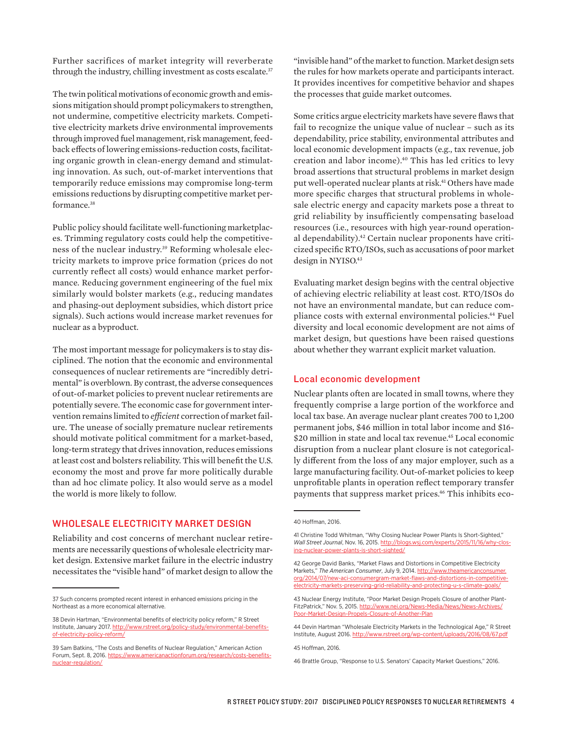Further sacrifices of market integrity will reverberate through the industry, chilling investment as costs escalate.<sup>37</sup>

The twin political motivations of economic growth and emissions mitigation should prompt policymakers to strengthen, not undermine, competitive electricity markets. Competitive electricity markets drive environmental improvements through improved fuel management, risk management, feedback effects of lowering emissions-reduction costs, facilitating organic growth in clean-energy demand and stimulating innovation. As such, out-of-market interventions that temporarily reduce emissions may compromise long-term emissions reductions by disrupting competitive market performance.38

Public policy should facilitate well-functioning marketplaces. Trimming regulatory costs could help the competitiveness of the nuclear industry.39 Reforming wholesale electricity markets to improve price formation (prices do not currently reflect all costs) would enhance market performance. Reducing government engineering of the fuel mix similarly would bolster markets (e.g., reducing mandates and phasing-out deployment subsidies, which distort price signals). Such actions would increase market revenues for nuclear as a byproduct.

The most important message for policymakers is to stay disciplined. The notion that the economic and environmental consequences of nuclear retirements are "incredibly detrimental" is overblown. By contrast, the adverse consequences of out-of-market policies to prevent nuclear retirements are potentially severe. The economic case for government intervention remains limited to *efficient* correction of market failure. The unease of socially premature nuclear retirements should motivate political commitment for a market-based, long-term strategy that drives innovation, reduces emissions at least cost and bolsters reliability. This will benefit the U.S. economy the most and prove far more politically durable than ad hoc climate policy. It also would serve as a model the world is more likely to follow.

# WHOLESALE ELECTRICITY MARKET DESIGN

Reliability and cost concerns of merchant nuclear retirements are necessarily questions of wholesale electricity market design. Extensive market failure in the electric industry necessitates the "visible hand" of market design to allow the

"invisible hand" of the market to function. Market design sets the rules for how markets operate and participants interact. It provides incentives for competitive behavior and shapes the processes that guide market outcomes.

Some critics argue electricity markets have severe flaws that fail to recognize the unique value of nuclear – such as its dependability, price stability, environmental attributes and local economic development impacts (e.g., tax revenue, job creation and labor income).40 This has led critics to levy broad assertions that structural problems in market design put well-operated nuclear plants at risk.<sup>41</sup> Others have made more specific charges that structural problems in wholesale electric energy and capacity markets pose a threat to grid reliability by insufficiently compensating baseload resources (i.e., resources with high year-round operational dependability).<sup>42</sup> Certain nuclear proponents have criticized specific RTO/ISOs, such as accusations of poor market design in NYISO.<sup>43</sup>

Evaluating market design begins with the central objective of achieving electric reliability at least cost. RTO/ISOs do not have an environmental mandate, but can reduce compliance costs with external environmental policies.<sup>44</sup> Fuel diversity and local economic development are not aims of market design, but questions have been raised questions about whether they warrant explicit market valuation.

## Local economic development

Nuclear plants often are located in small towns, where they frequently comprise a large portion of the workforce and local tax base. An average nuclear plant creates 700 to 1,200 permanent jobs, \$46 million in total labor income and \$16- \$20 million in state and local tax revenue.<sup>45</sup> Local economic disruption from a nuclear plant closure is not categorically different from the loss of any major employer, such as a large manufacturing facility. Out-of-market policies to keep unprofitable plants in operation reflect temporary transfer payments that suppress market prices.<sup>46</sup> This inhibits eco-

45 Hoffman, 2016.

<sup>37</sup> Such concerns prompted recent interest in enhanced emissions pricing in the Northeast as a more economical alternative.

<sup>38</sup> Devin Hartman, "Environmental benefits of electricity policy reform," R Street Institute, January 2017. [http://www.rstreet.org/policy-study/environmental-benefits](http://www.rstreet.org/policy-study/environmental-benefits-of-electricity-policy-reform/)[of-electricity-policy-reform/](http://www.rstreet.org/policy-study/environmental-benefits-of-electricity-policy-reform/)

<sup>39</sup> Sam Batkins, "The Costs and Benefits of Nuclear Regulation," American Action Forum, Sept. 8, 2016. [https://www.americanactionforum.org/research/costs-benefits](https://www.americanactionforum.org/research/costs-benefits-nuclear-regulation/)[nuclear-regulation/](https://www.americanactionforum.org/research/costs-benefits-nuclear-regulation/)

<sup>40</sup> Hoffman, 2016.

<sup>41</sup> Christine Todd Whitman, "Why Closing Nuclear Power Plants Is Short-Sighted," *Wall Street Journal*, Nov. 16, 2015. [http://blogs.wsj.com/experts/2015/11/16/why-clos](http://blogs.wsj.com/experts/2015/11/16/why-closing-nuclear-power-plants-is-short-sighted/)[ing-nuclear-power-plants-is-short-sighted/](http://blogs.wsj.com/experts/2015/11/16/why-closing-nuclear-power-plants-is-short-sighted/)

<sup>42</sup> George David Banks, "Market Flaws and Distortions in Competitive Electricity Markets," The American Consumer, July 9, 2014. [http://www.theamericanconsumer.](http://www.theamericanconsumer.org/2014/07/new-aci-consumergram-market-flaws-and-distortions-in-competitive-electricity-markets-preserving-grid-reliability-and-protecting-u-s-climate-goals/) [org/2014/07/new-aci-consumergram-market-flaws-and-distortions-in-competitive](http://www.theamericanconsumer.org/2014/07/new-aci-consumergram-market-flaws-and-distortions-in-competitive-electricity-markets-preserving-grid-reliability-and-protecting-u-s-climate-goals/)electricity-markets-preserving-grid-reliability-and-protecting-u-s-climate

<sup>43</sup> Nuclear Energy Institute, "Poor Market Design Propels Closure of another Plant-FitzPatrick," Nov. 5, 2015. [http://www.nei.org/News-Media/News/News-Archives/](http://www.nei.org/News-Media/News/News-Archives/Poor-Market-Design-Propels-Closure-of-Another-Plan) [Poor-Market-Design-Propels-Closure-of-Another-Plan](http://www.nei.org/News-Media/News/News-Archives/Poor-Market-Design-Propels-Closure-of-Another-Plan)

<sup>44</sup> Devin Hartman "Wholesale Electricity Markets in the Technological Age," R Street Institute, August 2016. http://www.rstreet.org/wp-content/uploads/2016

<sup>46</sup> Brattle Group, "Response to U.S. Senators' Capacity Market Questions," 2016.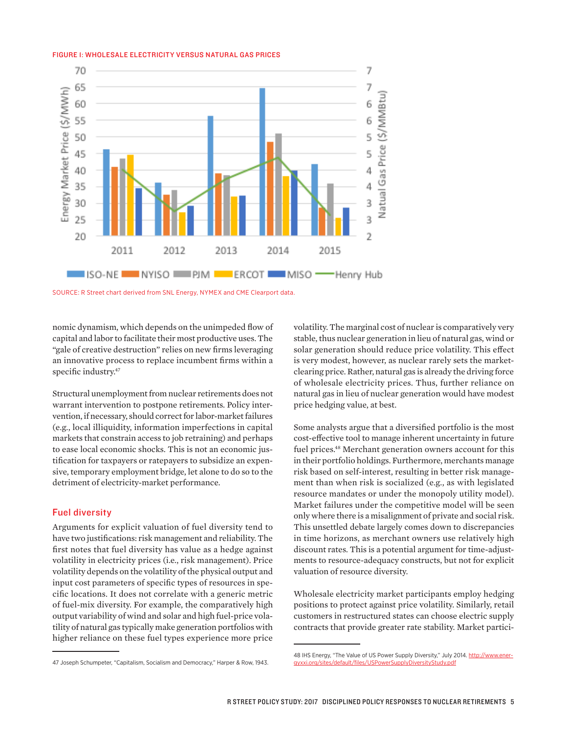## FIGURE 1: WHOLESALE ELECTRICITY VERSUS NATURAL GAS PRICES



SOURCE: R Street chart derived from SNL Energy, NYMEX and CME Clearport data.

nomic dynamism, which depends on the unimpeded flow of capital and labor to facilitate their most productive uses. The "gale of creative destruction" relies on new firms leveraging an innovative process to replace incumbent firms within a specific industry.47

Structural unemployment from nuclear retirements does not warrant intervention to postpone retirements. Policy intervention, if necessary, should correct for labor-market failures (e.g., local illiquidity, information imperfections in capital markets that constrain access to job retraining) and perhaps to ease local economic shocks. This is not an economic justification for taxpayers or ratepayers to subsidize an expensive, temporary employment bridge, let alone to do so to the detriment of electricity-market performance.

## Fuel diversity

Arguments for explicit valuation of fuel diversity tend to have two justifications: risk management and reliability. The first notes that fuel diversity has value as a hedge against volatility in electricity prices (i.e., risk management). Price volatility depends on the volatility of the physical output and input cost parameters of specific types of resources in specific locations. It does not correlate with a generic metric of fuel-mix diversity. For example, the comparatively high output variability of wind and solar and high fuel-price volatility of natural gas typically make generation portfolios with higher reliance on these fuel types experience more price volatility. The marginal cost of nuclear is comparatively very stable, thus nuclear generation in lieu of natural gas, wind or solar generation should reduce price volatility. This effect is very modest, however, as nuclear rarely sets the marketclearing price. Rather, natural gas is already the driving force of wholesale electricity prices. Thus, further reliance on natural gas in lieu of nuclear generation would have modest price hedging value, at best.

Some analysts argue that a diversified portfolio is the most cost-effective tool to manage inherent uncertainty in future fuel prices.<sup>48</sup> Merchant generation owners account for this in their portfolio holdings. Furthermore, merchants manage risk based on self-interest, resulting in better risk management than when risk is socialized (e.g., as with legislated resource mandates or under the monopoly utility model). Market failures under the competitive model will be seen only where there is a misalignment of private and social risk. This unsettled debate largely comes down to discrepancies in time horizons, as merchant owners use relatively high discount rates. This is a potential argument for time-adjustments to resource-adequacy constructs, but not for explicit valuation of resource diversity.

Wholesale electricity market participants employ hedging positions to protect against price volatility. Similarly, retail customers in restructured states can choose electric supply contracts that provide greater rate stability. Market partici-

<sup>47</sup> Joseph Schumpeter, "Capitalism, Socialism and Democracy," Harper & Row, 1943.

<sup>48</sup> IHS Energy, "The Value of US Power Supply Diversity," July 2014. [http://www.ener](http://www.energyxxi.org/sites/default/files/USPowerSupplyDiversityStudy.pdf)[gyxxi.org/sites/default/files/USPowerSupplyDiversityStudy.pdf](http://www.energyxxi.org/sites/default/files/USPowerSupplyDiversityStudy.pdf)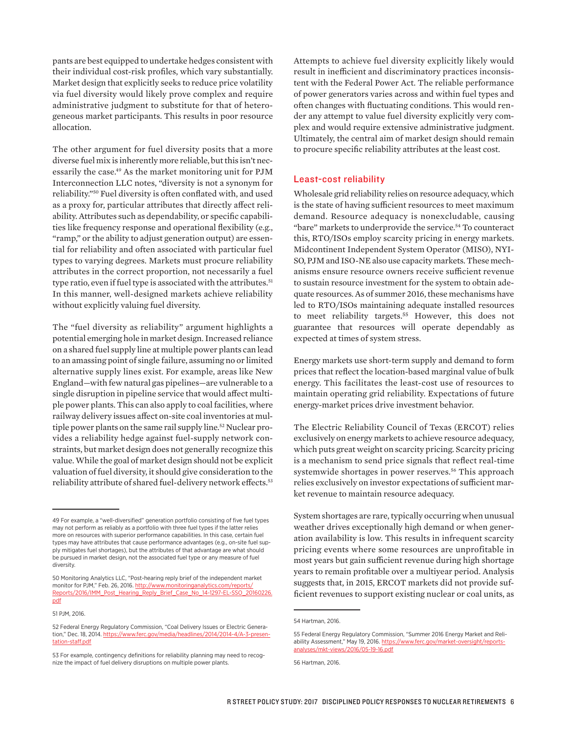pants are best equipped to undertake hedges consistent with their individual cost-risk profiles, which vary substantially. Market design that explicitly seeks to reduce price volatility via fuel diversity would likely prove complex and require administrative judgment to substitute for that of heterogeneous market participants. This results in poor resource allocation.

The other argument for fuel diversity posits that a more diverse fuel mix is inherently more reliable, but this isn't necessarily the case.49 As the market monitoring unit for PJM Interconnection LLC notes, "diversity is not a synonym for reliability."50 Fuel diversity is often conflated with, and used as a proxy for, particular attributes that directly affect reliability. Attributes such as dependability, or specific capabilities like frequency response and operational flexibility (e.g., "ramp," or the ability to adjust generation output) are essential for reliability and often associated with particular fuel types to varying degrees. Markets must procure reliability attributes in the correct proportion, not necessarily a fuel type ratio, even if fuel type is associated with the attributes.<sup>51</sup> In this manner, well-designed markets achieve reliability without explicitly valuing fuel diversity.

The "fuel diversity as reliability" argument highlights a potential emerging hole in market design. Increased reliance on a shared fuel supply line at multiple power plants can lead to an amassing point of single failure, assuming no or limited alternative supply lines exist. For example, areas like New England—with few natural gas pipelines—are vulnerable to a single disruption in pipeline service that would affect multiple power plants. This can also apply to coal facilities, where railway delivery issues affect on-site coal inventories at multiple power plants on the same rail supply line.<sup>52</sup> Nuclear provides a reliability hedge against fuel-supply network constraints, but market design does not generally recognize this value. While the goal of market design should not be explicit valuation of fuel diversity, it should give consideration to the reliability attribute of shared fuel-delivery network effects.<sup>53</sup>

51 PJM, 2016.

Attempts to achieve fuel diversity explicitly likely would result in inefficient and discriminatory practices inconsistent with the Federal Power Act. The reliable performance of power generators varies across and within fuel types and often changes with fluctuating conditions. This would render any attempt to value fuel diversity explicitly very complex and would require extensive administrative judgment. Ultimately, the central aim of market design should remain to procure specific reliability attributes at the least cost.

## Least-cost reliability

Wholesale grid reliability relies on resource adequacy, which is the state of having sufficient resources to meet maximum demand. Resource adequacy is nonexcludable, causing "bare" markets to underprovide the service.<sup>54</sup> To counteract this, RTO/ISOs employ scarcity pricing in energy markets. Midcontinent Independent System Operator (MISO), NYI-SO, PJM and ISO-NE also use capacity markets. These mechanisms ensure resource owners receive sufficient revenue to sustain resource investment for the system to obtain adequate resources. As of summer 2016, these mechanisms have led to RTO/ISOs maintaining adequate installed resources to meet reliability targets.<sup>55</sup> However, this does not guarantee that resources will operate dependably as expected at times of system stress.

Energy markets use short-term supply and demand to form prices that reflect the location-based marginal value of bulk energy. This facilitates the least-cost use of resources to maintain operating grid reliability. Expectations of future energy-market prices drive investment behavior.

The Electric Reliability Council of Texas (ERCOT) relies exclusively on energy markets to achieve resource adequacy, which puts great weight on scarcity pricing. Scarcity pricing is a mechanism to send price signals that reflect real-time systemwide shortages in power reserves.<sup>56</sup> This approach relies exclusively on investor expectations of sufficient market revenue to maintain resource adequacy.

System shortages are rare, typically occurring when unusual weather drives exceptionally high demand or when generation availability is low. This results in infrequent scarcity pricing events where some resources are unprofitable in most years but gain sufficient revenue during high shortage years to remain profitable over a multiyear period. Analysis suggests that, in 2015, ERCOT markets did not provide sufficient revenues to support existing nuclear or coal units, as

<sup>49</sup> For example, a "well-diversified" generation portfolio consisting of five fuel types may not perform as reliably as a portfolio with three fuel types if the latter relies more on resources with superior performance capabilities. In this case, certain fuel types may have attributes that cause performance advantages (e.g., on-site fuel supply mitigates fuel shortages), but the attributes of that advantage are what should be pursued in market design, not the associated fuel type or any measure of fuel diversity.

<sup>50</sup> Monitoring Analytics LLC, "Post-hearing reply brief of the independent market monitor for PJM," Feb. 26, 2016. http://www.monitoringanalytics.com/reports [Reports/2016/IMM\\_Post\\_Hearing\\_Reply\\_Brief\\_Case\\_No\\_14-1297-EL-SSO\\_20160226.](http://www.monitoringanalytics.com/reports/Reports/2016/IMM_Post_Hearing_Reply_Brief_Case_No_14-1297-EL-SSO_20160226.pdf) [pdf](http://www.monitoringanalytics.com/reports/Reports/2016/IMM_Post_Hearing_Reply_Brief_Case_No_14-1297-EL-SSO_20160226.pdf)

<sup>52</sup> Federal Energy Regulatory Commission, "Coal Delivery Issues or Electric Generation," Dec. 18, 2014. [https://www.ferc.gov/media/headlines/2014/2014-4/A-3-presen](https://www.ferc.gov/media/headlines/2014/2014-4/A-3-presentation-staff.pdf)[tation-staff.pdf](https://www.ferc.gov/media/headlines/2014/2014-4/A-3-presentation-staff.pdf)

<sup>53</sup> For example, contingency definitions for reliability planning may need to recognize the impact of fuel delivery disruptions on multiple power plants.

<sup>54</sup> Hartman, 2016.

<sup>55</sup> Federal Energy Regulatory Commission, "Summer 2016 Energy Market and Reliability Assessment," May 19, 2016. [https://www.ferc.gov/market-oversight/reports](https://www.ferc.gov/market-oversight/reports-analyses/mkt-views/2016/05-19-16.pdf)[analyses/mkt-views/2016/05-19-16.pdf](https://www.ferc.gov/market-oversight/reports-analyses/mkt-views/2016/05-19-16.pdf)

<sup>56</sup> Hartman, 2016.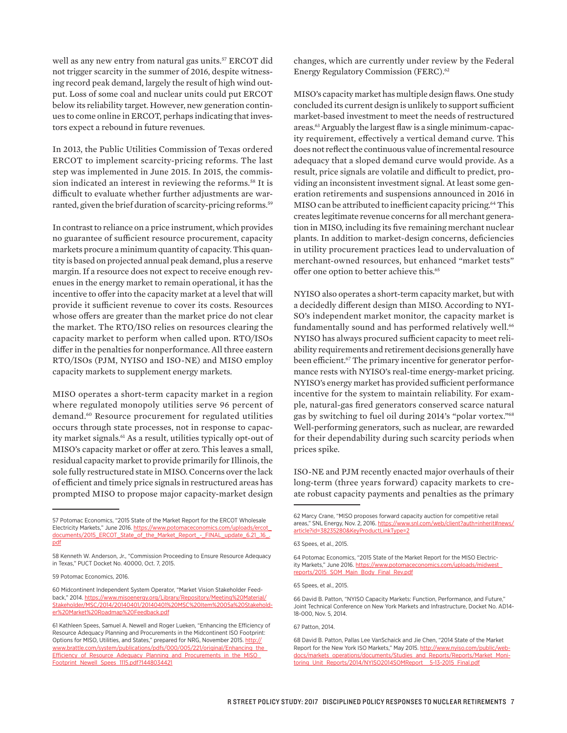well as any new entry from natural gas units.<sup>57</sup> ERCOT did not trigger scarcity in the summer of 2016, despite witnessing record peak demand, largely the result of high wind output. Loss of some coal and nuclear units could put ERCOT below its reliability target. However, new generation continues to come online in ERCOT, perhaps indicating that investors expect a rebound in future revenues.

In 2013, the Public Utilities Commission of Texas ordered ERCOT to implement scarcity-pricing reforms. The last step was implemented in June 2015. In 2015, the commission indicated an interest in reviewing the reforms.<sup>58</sup> It is difficult to evaluate whether further adjustments are warranted, given the brief duration of scarcity-pricing reforms.<sup>59</sup>

In contrast to reliance on a price instrument, which provides no guarantee of sufficient resource procurement, capacity markets procure a minimum quantity of capacity. This quantity is based on projected annual peak demand, plus a reserve margin. If a resource does not expect to receive enough revenues in the energy market to remain operational, it has the incentive to offer into the capacity market at a level that will provide it sufficient revenue to cover its costs. Resources whose offers are greater than the market price do not clear the market. The RTO/ISO relies on resources clearing the capacity market to perform when called upon. RTO/ISOs differ in the penalties for nonperformance. All three eastern RTO/ISOs (PJM, NYISO and ISO-NE) and MISO employ capacity markets to supplement energy markets.

MISO operates a short-term capacity market in a region where regulated monopoly utilities serve 96 percent of demand.60 Resource procurement for regulated utilities occurs through state processes, not in response to capacity market signals.<sup>61</sup> As a result, utilities typically opt-out of MISO's capacity market or offer at zero. This leaves a small, residual capacity market to provide primarily for Illinois, the sole fully restructured state in MISO. Concerns over the lack of efficient and timely price signals in restructured areas has prompted MISO to propose major capacity-market design

59 Potomac Economics, 2016.

60 Midcontinent Independent System Operator, "Market Vision Stakeholder Feedback," 2014. [https://www.misoenergy.org/Library/Repository/Meeting%20Material/](https://www.misoenergy.org/Library/Repository/Meeting%20Material/Stakeholder/MSC/2014/20140401/20140401%20MSC%20Item%2005a%20Stakeholder%20Market%20Roadmap%20Feedback.pdf) [Stakeholder/MSC/2014/20140401/20140401%20MSC%20Item%2005a%20Stakehold](https://www.misoenergy.org/Library/Repository/Meeting%20Material/Stakeholder/MSC/2014/20140401/20140401%20MSC%20Item%2005a%20Stakeholder%20Market%20Roadmap%20Feedback.pdf)[er%20Market%20Roadmap%20Feedback.pdf](https://www.misoenergy.org/Library/Repository/Meeting%20Material/Stakeholder/MSC/2014/20140401/20140401%20MSC%20Item%2005a%20Stakeholder%20Market%20Roadmap%20Feedback.pdf)

changes, which are currently under review by the Federal Energy Regulatory Commission (FERC).62

MISO's capacity market has multiple design flaws. One study concluded its current design is unlikely to support sufficient market-based investment to meet the needs of restructured areas.63 Arguably the largest flaw is a single minimum-capacity requirement, effectively a vertical demand curve. This does not reflect the continuous value of incremental resource adequacy that a sloped demand curve would provide. As a result, price signals are volatile and difficult to predict, providing an inconsistent investment signal. At least some generation retirements and suspensions announced in 2016 in MISO can be attributed to inefficient capacity pricing.<sup>64</sup> This creates legitimate revenue concerns for all merchant generation in MISO, including its five remaining merchant nuclear plants. In addition to market-design concerns, deficiencies in utility procurement practices lead to undervaluation of merchant-owned resources, but enhanced "market tests" offer one option to better achieve this.<sup>65</sup>

NYISO also operates a short-term capacity market, but with a decidedly different design than MISO. According to NYI-SO's independent market monitor, the capacity market is fundamentally sound and has performed relatively well.<sup>66</sup> NYISO has always procured sufficient capacity to meet reliability requirements and retirement decisions generally have been efficient.<sup>67</sup> The primary incentive for generator performance rests with NYISO's real-time energy-market pricing. NYISO's energy market has provided sufficient performance incentive for the system to maintain reliability. For example, natural-gas fired generators conserved scarce natural gas by switching to fuel oil during 2014's "polar vortex."68 Well-performing generators, such as nuclear, are rewarded for their dependability during such scarcity periods when prices spike.

ISO-NE and PJM recently enacted major overhauls of their long-term (three years forward) capacity markets to create robust capacity payments and penalties as the primary

65 Spees, et al., 2015.

66 David B. Patton, "NYISO Capacity Markets: Function, Performance, and Future," Joint Technical Conference on New York Markets and Infrastructure, Docket No. AD14- 18-000, Nov. 5, 2014.

<sup>57</sup> Potomac Economics, "2015 State of the Market Report for the ERCOT Wholesale Electricity Markets," June 2016. [https://www.potomaceconomics.com/uploads/ercot\\_](https://www.potomaceconomics.com/uploads/ercot_documents/2015_ERCOT_State_of_the_Market_Report_-_FINAL_update_6.21_.16_.pdf) [documents/2015\\_ERCOT\\_State\\_of\\_the\\_Market\\_Report\\_-\\_FINAL\\_update\\_6.21\\_.16\\_.](https://www.potomaceconomics.com/uploads/ercot_documents/2015_ERCOT_State_of_the_Market_Report_-_FINAL_update_6.21_.16_.pdf) [pdf](https://www.potomaceconomics.com/uploads/ercot_documents/2015_ERCOT_State_of_the_Market_Report_-_FINAL_update_6.21_.16_.pdf)

<sup>58</sup> Kenneth W. Anderson, Jr., "Commission Proceeding to Ensure Resource Adequacy in Texas," PUCT Docket No. 40000, Oct. 7, 2015.

<sup>61</sup> Kathleen Spees, Samuel A. Newell and Roger Lueken, "Enhancing the Efficiency of Resource Adequacy Planning and Procurements in the Midcontinent ISO Footprint: Options for MISO, Utilities, and States," prepared for NRG, November 2015. [http://](http://www.brattle.com/system/publications/pdfs/000/005/221/original/Enhancing_the_Efficiency_of_Resource_Adequacy_Planning_and_Procurements_in_the_MISO_Footprint_Newell_Spees_1115.pdf?1448034421) [www.brattle.com/system/publications/pdfs/000/005/221/original/Enhancing\\_the\\_](http://www.brattle.com/system/publications/pdfs/000/005/221/original/Enhancing_the_Efficiency_of_Resource_Adequacy_Planning_and_Procurements_in_the_MISO_Footprint_Newell_Spees_1115.pdf?1448034421) Efficiency of Resource Adequacy Planning and Procurements in the MISO [Footprint\\_Newell\\_Spees\\_1115.pdf?1448034421](http://www.brattle.com/system/publications/pdfs/000/005/221/original/Enhancing_the_Efficiency_of_Resource_Adequacy_Planning_and_Procurements_in_the_MISO_Footprint_Newell_Spees_1115.pdf?1448034421)

<sup>62</sup> Marcy Crane, "MISO proposes forward capacity auction for competitive retail areas," SNL Energy, Nov. 2, 2016. https://www.snl.com/web/client?auth=inherit#news/ article?id=38235280&KeyProductLinkType=2

<sup>63</sup> Spees, et al., 2015.

<sup>64</sup> Potomac Economics, "2015 State of the Market Report for the MISO Electricity Markets," June 2016. [https://www.potomaceconomics.com/uploads/midwest\\_](https://www.potomaceconomics.com/uploads/midwest_reports/2015_SOM_Main_Body_Final_Rev.pdf) [reports/2015\\_SOM\\_Main\\_Body\\_Final\\_Rev.pdf](https://www.potomaceconomics.com/uploads/midwest_reports/2015_SOM_Main_Body_Final_Rev.pdf)

<sup>67</sup> Patton, 2014.

<sup>68</sup> David B. Patton, Pallas Lee VanSchaick and Jie Chen, "2014 State of the Market Report for the New York ISO Markets," May 2015. [http://www.nyiso.com/public/web](http://www.nyiso.com/public/webdocs/markets_operations/documents/Studies_and_Reports/Reports/Market_Monitoring_Unit_Reports/2014/NYISO2014SOMReport__5-13-2015_Final.pdf)[docs/markets\\_operations/documents/Studies\\_and\\_Reports/Reports/Market\\_Moni](http://www.nyiso.com/public/webdocs/markets_operations/documents/Studies_and_Reports/Reports/Market_Monitoring_Unit_Reports/2014/NYISO2014SOMReport__5-13-2015_Final.pdf)toring\_Unit\_Reports/2014/NYISO2014SOMReport \_5-13-2015\_Final.pdf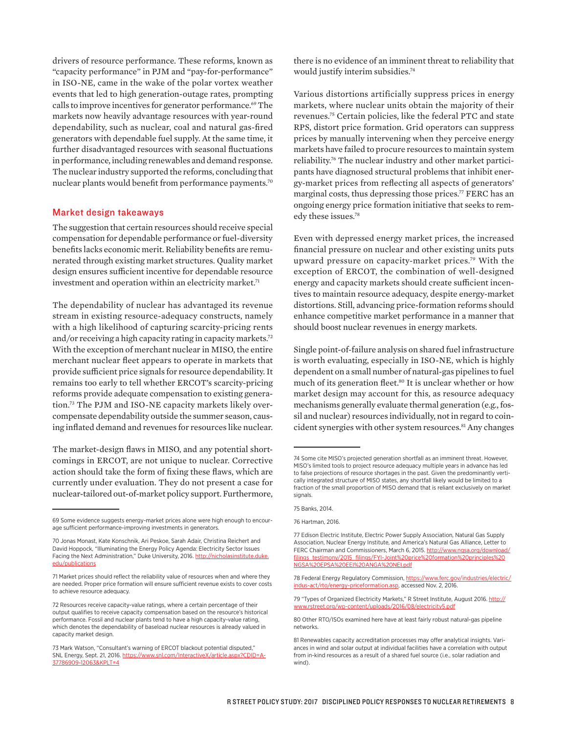drivers of resource performance. These reforms, known as "capacity performance" in PJM and "pay-for-performance" in ISO-NE, came in the wake of the polar vortex weather events that led to high generation-outage rates, prompting calls to improve incentives for generator performance.<sup>69</sup> The markets now heavily advantage resources with year-round dependability, such as nuclear, coal and natural gas-fired generators with dependable fuel supply. At the same time, it further disadvantaged resources with seasonal fluctuations in performance, including renewables and demand response. The nuclear industry supported the reforms, concluding that nuclear plants would benefit from performance payments.70

# Market design takeaways

The suggestion that certain resources should receive special compensation for dependable performance or fuel-diversity benefits lacks economic merit. Reliability benefits are remunerated through existing market structures. Quality market design ensures sufficient incentive for dependable resource investment and operation within an electricity market.<sup>71</sup>

The dependability of nuclear has advantaged its revenue stream in existing resource-adequacy constructs, namely with a high likelihood of capturing scarcity-pricing rents and/or receiving a high capacity rating in capacity markets.<sup>72</sup> With the exception of merchant nuclear in MISO, the entire merchant nuclear fleet appears to operate in markets that provide sufficient price signals for resource dependability. It remains too early to tell whether ERCOT's scarcity-pricing reforms provide adequate compensation to existing generation.73 The PJM and ISO-NE capacity markets likely overcompensate dependability outside the summer season, causing inflated demand and revenues for resources like nuclear.

The market-design flaws in MISO, and any potential shortcomings in ERCOT, are not unique to nuclear. Corrective action should take the form of fixing these flaws, which are currently under evaluation. They do not present a case for nuclear-tailored out-of-market policy support. Furthermore,

there is no evidence of an imminent threat to reliability that would justify interim subsidies.74

Various distortions artificially suppress prices in energy markets, where nuclear units obtain the majority of their revenues.75 Certain policies, like the federal PTC and state RPS, distort price formation. Grid operators can suppress prices by manually intervening when they perceive energy markets have failed to procure resources to maintain system reliability.76 The nuclear industry and other market participants have diagnosed structural problems that inhibit energy-market prices from reflecting all aspects of generators' marginal costs, thus depressing those prices.<sup>77</sup> FERC has an ongoing energy price formation initiative that seeks to remedy these issues.78

Even with depressed energy market prices, the increased financial pressure on nuclear and other existing units puts upward pressure on capacity-market prices.79 With the exception of ERCOT, the combination of well-designed energy and capacity markets should create sufficient incentives to maintain resource adequacy, despite energy-market distortions. Still, advancing price-formation reforms should enhance competitive market performance in a manner that should boost nuclear revenues in energy markets.

Single point-of-failure analysis on shared fuel infrastructure is worth evaluating, especially in ISO-NE, which is highly dependent on a small number of natural-gas pipelines to fuel much of its generation fleet.<sup>80</sup> It is unclear whether or how market design may account for this, as resource adequacy mechanisms generally evaluate thermal generation (e.g., fossil and nuclear) resources individually, not in regard to coincident synergies with other system resources.<sup>81</sup> Any changes

<sup>69</sup> Some evidence suggests energy-market prices alone were high enough to encourage sufficient performance-improving investments in generators.

<sup>70</sup> Jonas Monast, Kate Konschnik, Ari Peskoe, Sarah Adair, Christina Reichert and David Hoppock, "Illuminating the Energy Policy Agenda: Electricity Sector Issues Facing the Next Administration," Duke University, 2016. [http://nicholasinstitute.duke.](http://nicholasinstitute.duke.edu/publications) [edu/publications](http://nicholasinstitute.duke.edu/publications)

<sup>71</sup> Market prices should reflect the reliability value of resources when and where they are needed. Proper price formation will ensure sufficient revenue exists to cover costs to achieve resource adequacy.

<sup>72</sup> Resources receive capacity-value ratings, where a certain percentage of their output qualifies to receive capacity compensation based on the resource's historical performance. Fossil and nuclear plants tend to have a high capacity-value rating, which denotes the dependability of baseload nuclear resources is already valued in capacity market design.

<sup>73</sup> Mark Watson, "Consultant's warning of ERCOT blackout potential disputed," SNL Energy, Sept. 21, 2016. [https://www.snl.com/InteractiveX/article.aspx?CDID=A-](https://www.snl.com/InteractiveX/article.aspx?CDID=A-37786909-12063&KPLT=4)[37786909-12063&KPLT=4](https://www.snl.com/InteractiveX/article.aspx?CDID=A-37786909-12063&KPLT=4)

<sup>74</sup> Some cite MISO's projected generation shortfall as an imminent threat. However, MISO's limited tools to project resource adequacy multiple years in advance has led to false projections of resource shortages in the past. Given the predominantly vertically integrated structure of MISO states, any shortfall likely would be limited to a fraction of the small proportion of MISO demand that is reliant exclusively on market signals.

<sup>75</sup> Banks, 2014.

<sup>76</sup> Hartman, 2016.

<sup>77</sup> Edison Electric Institute, Electric Power Supply Association, Natural Gas Supply Association, Nuclear Energy Institute, and America's Natural Gas Alliance, Letter to FERC Chairman and Commissioners, March 6, 2015. [http://www.ngsa.org/download/](http://www.ngsa.org/download/filings_testimony/2015_filings/FYI-Joint%20price%20formation%20principles%20NGSA%20EPSA%20EEI%20ANGA%20NEI.pdf) [filings\\_testimony/2015\\_filings/FYI-Joint%20price%20formation%20principles%20](http://www.ngsa.org/download/filings_testimony/2015_filings/FYI-Joint%20price%20formation%20principles%20NGSA%20EPSA%20EEI%20ANGA%20NEI.pdf) [NGSA%20EPSA%20EEI%20ANGA%20NEI.pdf](http://www.ngsa.org/download/filings_testimony/2015_filings/FYI-Joint%20price%20formation%20principles%20NGSA%20EPSA%20EEI%20ANGA%20NEI.pdf)

<sup>78</sup> Federal Energy Regulatory Commission, [https://www.ferc.gov/industries/electric/](https://www.ferc.gov/industries/electric/indus-act/rto/energy-priceformation.asp) -priceformation.asp, accessed Nov. 2, 2016.

<sup>79 &</sup>quot;Types of Organized Electricity Markets," R Street Institute, August 2016. [http://](http://www.rstreet.org/wp-content/uploads/2016/08/electricity5.pdf) [www.rstreet.org/wp-content/uploads/2016/08/electricity5.pdf](http://www.rstreet.org/wp-content/uploads/2016/08/electricity5.pdf)

<sup>80</sup> Other RTO/ISOs examined here have at least fairly robust natural-gas pipeline networks.

<sup>81</sup> Renewables capacity accreditation processes may offer analytical insights. Variances in wind and solar output at individual facilities have a correlation with output from in-kind resources as a result of a shared fuel source (i.e., solar radiation and wind).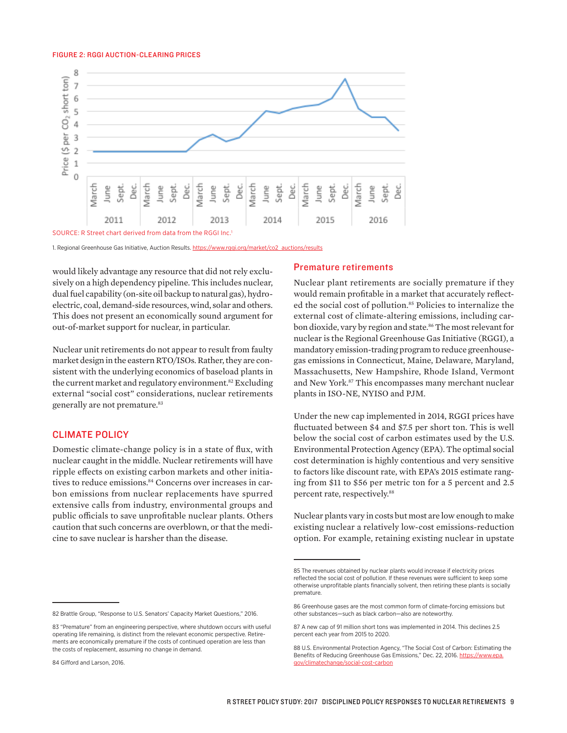#### FIGURE 2: RGGI AUCTION-CLEARING PRICES



1. Regional Greenhouse Gas Initiative, Auction Results. [https://www.rggi.org/market/co2\\_auctions/results](https://www.rggi.org/market/co2_auctions/results)

would likely advantage any resource that did not rely exclusively on a high dependency pipeline. This includes nuclear, dual fuel capability (on-site oil backup to natural gas), hydroelectric, coal, demand-side resources, wind, solar and others. This does not present an economically sound argument for out-of-market support for nuclear, in particular.

Nuclear unit retirements do not appear to result from faulty market design in the eastern RTO/ISOs. Rather, they are consistent with the underlying economics of baseload plants in the current market and regulatory environment.82 Excluding external "social cost" considerations, nuclear retirements generally are not premature.<sup>83</sup>

## CLIMATE POLICY

Domestic climate-change policy is in a state of flux, with nuclear caught in the middle. Nuclear retirements will have ripple effects on existing carbon markets and other initiatives to reduce emissions.<sup>84</sup> Concerns over increases in carbon emissions from nuclear replacements have spurred extensive calls from industry, environmental groups and public officials to save unprofitable nuclear plants. Others caution that such concerns are overblown, or that the medicine to save nuclear is harsher than the disease.

#### 82 Brattle Group, "Response to U.S. Senators' Capacity Market Questions," 2016.

84 Gifford and Larson, 2016.

## Premature retirements

Nuclear plant retirements are socially premature if they would remain profitable in a market that accurately reflected the social cost of pollution.<sup>85</sup> Policies to internalize the external cost of climate-altering emissions, including carbon dioxide, vary by region and state.<sup>86</sup> The most relevant for nuclear is the Regional Greenhouse Gas Initiative (RGGI), a mandatory emission-trading program to reduce greenhousegas emissions in Connecticut, Maine, Delaware, Maryland, Massachusetts, New Hampshire, Rhode Island, Vermont and New York.<sup>87</sup> This encompasses many merchant nuclear plants in ISO-NE, NYISO and PJM.

Under the new cap implemented in 2014, RGGI prices have fluctuated between \$4 and \$7.5 per short ton. This is well below the social cost of carbon estimates used by the U.S. Environmental Protection Agency (EPA). The optimal social cost determination is highly contentious and very sensitive to factors like discount rate, with EPA's 2015 estimate ranging from \$11 to \$56 per metric ton for a 5 percent and 2.5 percent rate, respectively.<sup>88</sup>

Nuclear plants vary in costs but most are low enough to make existing nuclear a relatively low-cost emissions-reduction option. For example, retaining existing nuclear in upstate

<sup>83 &</sup>quot;Premature" from an engineering perspective, where shutdown occurs with useful operating life remaining, is distinct from the relevant economic perspective. Retirements are economically premature if the costs of continued operation are less than the costs of replacement, assuming no change in demand.

<sup>85</sup> The revenues obtained by nuclear plants would increase if electricity prices reflected the social cost of pollution. If these revenues were sufficient to keep some otherwise unprofitable plants financially solvent, then retiring these plants is socially premature.

<sup>86</sup> Greenhouse gases are the most common form of climate-forcing emissions but other substances—such as black carbon—also are noteworthy.

<sup>87</sup> A new cap of 91 million short tons was implemented in 2014. This declines 2.5 percent each year from 2015 to 2020.

<sup>88</sup> U.S. Environmental Protection Agency, "The Social Cost of Carbon: Estimating the Benefits of Reducing Greenhouse Gas Emissions," Dec. 22, 2016. [https://www.epa.](https://www.epa.gov/climatechange/social-cost-carbon) [gov/climatechange/social-cost-carbon](https://www.epa.gov/climatechange/social-cost-carbon)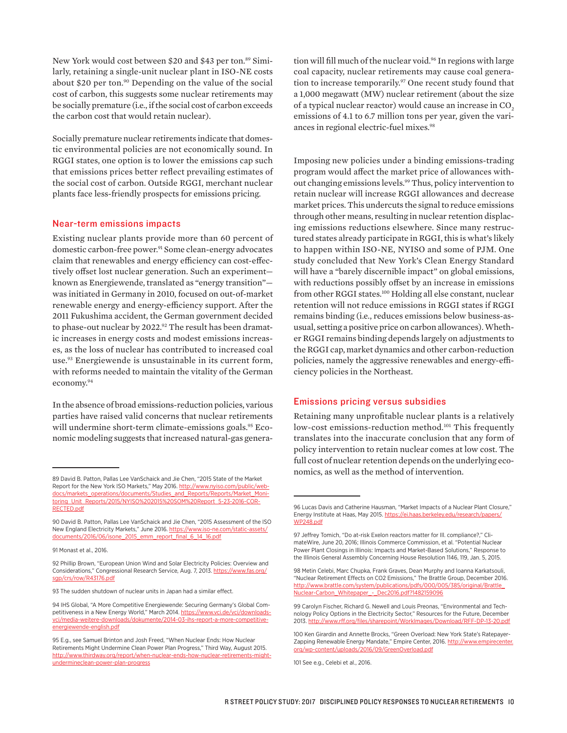New York would cost between \$20 and \$43 per ton.<sup>89</sup> Similarly, retaining a single-unit nuclear plant in ISO-NE costs about \$20 per ton.<sup>90</sup> Depending on the value of the social cost of carbon, this suggests some nuclear retirements may be socially premature (i.e., if the social cost of carbon exceeds the carbon cost that would retain nuclear).

Socially premature nuclear retirements indicate that domestic environmental policies are not economically sound. In RGGI states, one option is to lower the emissions cap such that emissions prices better reflect prevailing estimates of the social cost of carbon. Outside RGGI, merchant nuclear plants face less-friendly prospects for emissions pricing.

## Near-term emissions impacts

Existing nuclear plants provide more than 60 percent of domestic carbon-free power.<sup>91</sup> Some clean-energy advocates claim that renewables and energy efficiency can cost-effectively offset lost nuclear generation. Such an experiment known as Energiewende, translated as "energy transition" was initiated in Germany in 2010, focused on out-of-market renewable energy and energy-efficiency support. After the 2011 Fukushima accident, the German government decided to phase-out nuclear by 2022.<sup>92</sup> The result has been dramatic increases in energy costs and modest emissions increases, as the loss of nuclear has contributed to increased coal use.<sup>93</sup> Energiewende is unsustainable in its current form, with reforms needed to maintain the vitality of the German economy.94

In the absence of broad emissions-reduction policies, various parties have raised valid concerns that nuclear retirements will undermine short-term climate-emissions goals.<sup>95</sup> Economic modeling suggests that increased natural-gas genera-

91 Monast et al., 2016.

93 The sudden shutdown of nuclear units in Japan had a similar effect.

tion will fill much of the nuclear void.<sup>96</sup> In regions with large coal capacity, nuclear retirements may cause coal generation to increase temporarily.<sup>97</sup> One recent study found that a 1,000 megawatt (MW) nuclear retirement (about the size of a typical nuclear reactor) would cause an increase in CO<sub>2</sub> emissions of 4.1 to 6.7 million tons per year, given the variances in regional electric-fuel mixes.<sup>98</sup>

Imposing new policies under a binding emissions-trading program would affect the market price of allowances without changing emissions levels.<sup>99</sup> Thus, policy intervention to retain nuclear will increase RGGI allowances and decrease market prices. This undercuts the signal to reduce emissions through other means, resulting in nuclear retention displacing emissions reductions elsewhere. Since many restructured states already participate in RGGI, this is what's likely to happen within ISO-NE, NYISO and some of PJM. One study concluded that New York's Clean Energy Standard will have a "barely discernible impact" on global emissions, with reductions possibly offset by an increase in emissions from other RGGI states.100 Holding all else constant, nuclear retention will not reduce emissions in RGGI states if RGGI remains binding (i.e., reduces emissions below business-asusual, setting a positive price on carbon allowances). Whether RGGI remains binding depends largely on adjustments to the RGGI cap, market dynamics and other carbon-reduction policies, namely the aggressive renewables and energy-efficiency policies in the Northeast.

## Emissions pricing versus subsidies

Retaining many unprofitable nuclear plants is a relatively low-cost emissions-reduction method*.* 101 This frequently translates into the inaccurate conclusion that any form of policy intervention to retain nuclear comes at low cost. The full cost of nuclear retention depends on the underlying economics, as well as the method of intervention.

<sup>89</sup> David B. Patton, Pallas Lee VanSchaick and Jie Chen, "2015 State of the Market Report for the New York ISO Markets," May 2016. [http://www.nyiso.com/public/web](http://www.nyiso.com/public/webdocs/markets_operations/documents/Studies_and_Reports/Reports/Market_Monitoring_Unit_Reports/2015/NYISO%202015%20SOM%20Report_5-23-2016-CORRECTED.pdf)[docs/markets\\_operations/documents/Studies\\_and\\_Reports/Reports/Market\\_Moni](http://www.nyiso.com/public/webdocs/markets_operations/documents/Studies_and_Reports/Reports/Market_Monitoring_Unit_Reports/2015/NYISO%202015%20SOM%20Report_5-23-2016-CORRECTED.pdf)[toring\\_Unit\\_Reports/2015/NYISO%202015%20SOM%20Report\\_5-23-2016-COR-](http://www.nyiso.com/public/webdocs/markets_operations/documents/Studies_and_Reports/Reports/Market_Monitoring_Unit_Reports/2015/NYISO%202015%20SOM%20Report_5-23-2016-CORRECTED.pdf)[RECTED.pdf](http://www.nyiso.com/public/webdocs/markets_operations/documents/Studies_and_Reports/Reports/Market_Monitoring_Unit_Reports/2015/NYISO%202015%20SOM%20Report_5-23-2016-CORRECTED.pdf)

<sup>90</sup> David B. Patton, Pallas Lee VanSchaick and Jie Chen, "2015 Assessment of the ISO New England Electricity Markets," June 2016. [https://www.iso-ne.com/static-assets/](https://www.iso-ne.com/static-assets/documents/2016/06/isone_2015_emm_report_final_6_14_16.pdf) [documents/2016/06/isone\\_2015\\_emm\\_report\\_final\\_6\\_14\\_16.pdf](https://www.iso-ne.com/static-assets/documents/2016/06/isone_2015_emm_report_final_6_14_16.pdf)

<sup>92</sup> Phillip Brown, "European Union Wind and Solar Electricity Policies: Overview and Considerations," Congressional Research Service, Aug. 7, 2013. [https://www.fas.org/](https://www.fas.org/sgp/crs/row/R43176.pdf) [sgp/crs/row/R43176.pdf](https://www.fas.org/sgp/crs/row/R43176.pdf)

<sup>94</sup> IHS Global, "A More Competitive Energiewende: Securing Germany's Global Competitiveness in a New Energy World," March 2014. [https://www.vci.de/vci/downloads](https://www.vci.de/vci/downloads-vci/media-weitere-downloads/dokumente/2014-03-ihs-report-a-more-competitive-energiewende-english.pdf)[vci/media-weitere-downloads/dokumente/2014-03-ihs-report-a-more-competitive](https://www.vci.de/vci/downloads-vci/media-weitere-downloads/dokumente/2014-03-ihs-report-a-more-competitive-energiewende-english.pdf)[energiewende-english.pdf](https://www.vci.de/vci/downloads-vci/media-weitere-downloads/dokumente/2014-03-ihs-report-a-more-competitive-energiewende-english.pdf)

<sup>95</sup> E.g., see Samuel Brinton and Josh Freed, "When Nuclear Ends: How Nuclear Retirements Might Undermine Clean Power Plan Progress," Third Way, August 2015. [http://www.thirdway.org/report/when-nuclear-ends-how-nuclear-retirements-might](http://www.thirdway.org/report/when-nuclear-ends-how-nuclear-retirements-might-undermineclean-power-plan-progress)[undermineclean-power-plan-progress](http://www.thirdway.org/report/when-nuclear-ends-how-nuclear-retirements-might-undermineclean-power-plan-progress)

<sup>96</sup> Lucas Davis and Catherine Hausman, "Market Impacts of a Nuclear Plant Closure," Energy Institute at Haas, May 2015. [https://ei.haas.berkeley.edu/research/papers/](https://ei.haas.berkeley.edu/research/papers/WP248.pdf) [WP248.pdf](https://ei.haas.berkeley.edu/research/papers/WP248.pdf)

<sup>97</sup> Jeffrey Tomich, "Do at-risk Exelon reactors matter for Ill. compliance?," ClimateWire, June 20, 2016; Illinois Commerce Commission, et al. "Potential Nuclear Power Plant Closings in Illinois: Impacts and Market-Based Solutions," Response to the Illinois General Assembly Concerning House Resolution 1146, 119, Jan. 5, 2015.

<sup>98</sup> Metin Celebi, Marc Chupka, Frank Graves, Dean Murphy and Ioanna Karkatsouli, "Nuclear Retirement Effects on CO2 Emissions," The Brattle Group, December 2016. [http://www.brattle.com/system/publications/pdfs/000/005/385/original/Brattle\\_](http://www.brattle.com/system/publications/pdfs/000/005/385/original/Brattle_Nuclear-Carbon_Whitepaper_-_Dec2016.pdf?1482159096) [Nuclear-Carbon\\_Whitepaper\\_-\\_Dec2016.pdf?1482159096](http://www.brattle.com/system/publications/pdfs/000/005/385/original/Brattle_Nuclear-Carbon_Whitepaper_-_Dec2016.pdf?1482159096)

<sup>99</sup> Carolyn Fischer, Richard G. Newell and Louis Preonas, "Environmental and Technology Policy Options in the Electricity Sector," Resources for the Future, December 2013.<http://www.rff.org/files/sharepoint/WorkImages/Download/RFF-DP-13-20.pdf>

<sup>100</sup> Ken Girardin and Annette Brocks, "Green Overload: New York State's RatepayerZapping Renewable Energy Mandate," Empire Center, 2016. [http://www.empirecenter.](http://www.empirecenter.org/wp-content/uploads/2016/09/GreenOverload.pdf) [org/wp-content/uploads/2016/09/GreenOverload.pdf](http://www.empirecenter.org/wp-content/uploads/2016/09/GreenOverload.pdf)

<sup>101</sup> See e.g., Celebi et al., 2016.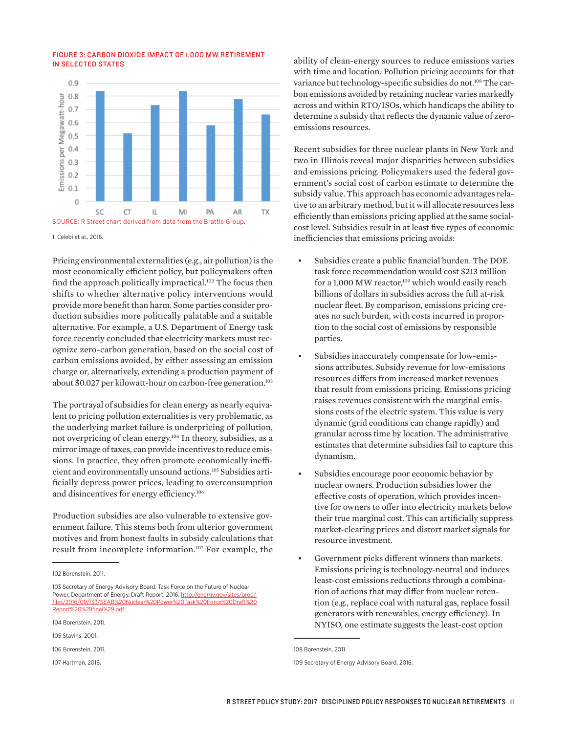## FIGURE 3: CARBON DIOXIDE IMPACT OF 1,000 MW RETIREMENT IN SELECTED STATES



<sup>1.</sup> Celebi et al., 2016.

Pricing environmental externalities (e.g., air pollution) is the most economically efficient policy, but policymakers often find the approach politically impractical.<sup>102</sup> The focus then shifts to whether alternative policy interventions would provide more benefit than harm. Some parties consider production subsidies more politically palatable and a suitable alternative. For example, a U.S. Department of Energy task force recently concluded that electricity markets must recognize zero-carbon generation, based on the social cost of carbon emissions avoided, by either assessing an emission charge or, alternatively, extending a production payment of about \$0.027 per kilowatt-hour on carbon-free generation.<sup>103</sup>

The portrayal of subsidies for clean energy as nearly equivalent to pricing pollution externalities is very problematic, as the underlying market failure is underpricing of pollution, not overpricing of clean energy.104 In theory, subsidies, as a mirror image of taxes, can provide incentives to reduce emissions. In practice, they often promote economically inefficient and environmentally unsound actions.105 Subsidies artificially depress power prices, leading to overconsumption and disincentives for energy efficiency.<sup>106</sup>

Production subsidies are also vulnerable to extensive government failure. This stems both from ulterior government motives and from honest faults in subsidy calculations that result from incomplete information.107 For example, the

ability of clean-energy sources to reduce emissions varies with time and location. Pollution pricing accounts for that variance but technology-specific subsidies do not.<sup>108</sup> The carbon emissions avoided by retaining nuclear varies markedly across and within RTO/ISOs, which handicaps the ability to determine a subsidy that reflects the dynamic value of zeroemissions resources.

Recent subsidies for three nuclear plants in New York and two in Illinois reveal major disparities between subsidies and emissions pricing. Policymakers used the federal government's social cost of carbon estimate to determine the subsidy value. This approach has economic advantages relative to an arbitrary method, but it will allocate resources less efficiently than emissions pricing applied at the same socialcost level. Subsidies result in at least five types of economic inefficiencies that emissions pricing avoids:

- Subsidies create a public financial burden. The DOE task force recommendation would cost \$213 million for a 1,000 MW reactor,<sup>109</sup> which would easily reach billions of dollars in subsidies across the full at-risk nuclear fleet. By comparison, emissions pricing creates no such burden, with costs incurred in proportion to the social cost of emissions by responsible parties.
- Subsidies inaccurately compensate for low-emissions attributes. Subsidy revenue for low-emissions resources differs from increased market revenues that result from emissions pricing. Emissions pricing raises revenues consistent with the marginal emissions costs of the electric system. This value is very dynamic (grid conditions can change rapidly) and granular across time by location. The administrative estimates that determine subsidies fail to capture this dynamism.
- Subsidies encourage poor economic behavior by nuclear owners. Production subsidies lower the effective costs of operation, which provides incentive for owners to offer into electricity markets below their true marginal cost. This can artificially suppress market-clearing prices and distort market signals for resource investment.
- Government picks different winners than markets. Emissions pricing is technology-neutral and induces least-cost emissions reductions through a combination of actions that may differ from nuclear retention (e.g., replace coal with natural gas, replace fossil generators with renewables, energy efficiency). In NYISO, one estimate suggests the least-cost option

<sup>102</sup> Borenstein, 2011.

<sup>103</sup> Secretary of Energy Advisory Board, Task Force on the Future of Nuclear Power, Department of Energy, Draft Report, 2016. [http://energy.gov/sites/prod/](http://energy.gov/sites/prod/files/2016/09/f33/SEAB%20Nuclear%20Power%20Task%20Force%20Draft%20Report%20%28final%29.pdf) [files/2016/09/f33/SEAB%20Nuclear%20Power%20Task%20Force%20Draft%20](http://energy.gov/sites/prod/files/2016/09/f33/SEAB%20Nuclear%20Power%20Task%20Force%20Draft%20Report%20%28final%29.pdf) [Report%20%28final%29.pdf](http://energy.gov/sites/prod/files/2016/09/f33/SEAB%20Nuclear%20Power%20Task%20Force%20Draft%20Report%20%28final%29.pdf)

<sup>104</sup> Borenstein, 2011.

<sup>105</sup> Stavins, 2001.

<sup>106</sup> Borenstein, 2011.

<sup>107</sup> Hartman, 2016.

<sup>108</sup> Borenstein, 2011.

<sup>109</sup> Secretary of Energy Advisory Board, 2016.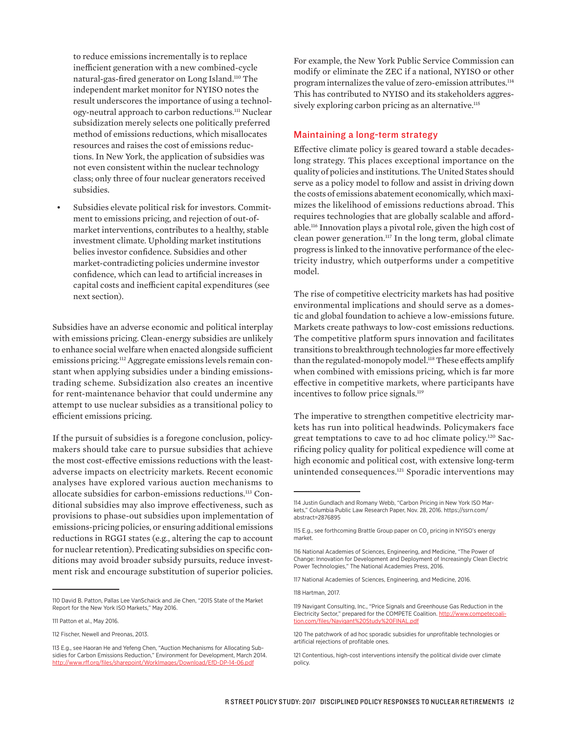to reduce emissions incrementally is to replace inefficient generation with a new combined-cycle natural-gas-fired generator on Long Island.110 The independent market monitor for NYISO notes the result underscores the importance of using a technology-neutral approach to carbon reductions.<sup>111</sup> Nuclear subsidization merely selects one politically preferred method of emissions reductions, which misallocates resources and raises the cost of emissions reductions. In New York, the application of subsidies was not even consistent within the nuclear technology class; only three of four nuclear generators received subsidies.

Subsidies elevate political risk for investors. Commitment to emissions pricing, and rejection of out-ofmarket interventions, contributes to a healthy, stable investment climate. Upholding market institutions belies investor confidence. Subsidies and other market-contradicting policies undermine investor confidence, which can lead to artificial increases in capital costs and inefficient capital expenditures (see next section).

Subsidies have an adverse economic and political interplay with emissions pricing. Clean-energy subsidies are unlikely to enhance social welfare when enacted alongside sufficient emissions pricing.112 Aggregate emissions levels remain constant when applying subsidies under a binding emissionstrading scheme. Subsidization also creates an incentive for rent-maintenance behavior that could undermine any attempt to use nuclear subsidies as a transitional policy to efficient emissions pricing.

If the pursuit of subsidies is a foregone conclusion, policymakers should take care to pursue subsidies that achieve the most cost-effective emissions reductions with the leastadverse impacts on electricity markets. Recent economic analyses have explored various auction mechanisms to allocate subsidies for carbon-emissions reductions.113 Conditional subsidies may also improve effectiveness, such as provisions to phase-out subsidies upon implementation of emissions-pricing policies, or ensuring additional emissions reductions in RGGI states (e.g., altering the cap to account for nuclear retention). Predicating subsidies on specific conditions may avoid broader subsidy pursuits, reduce investment risk and encourage substitution of superior policies.

For example, the New York Public Service Commission can modify or eliminate the ZEC if a national, NYISO or other program internalizes the value of zero-emission attributes.114 This has contributed to NYISO and its stakeholders aggressively exploring carbon pricing as an alternative.<sup>115</sup>

## Maintaining a long-term strategy

Effective climate policy is geared toward a stable decadeslong strategy. This places exceptional importance on the quality of policies and institutions. The United States should serve as a policy model to follow and assist in driving down the costs of emissions abatement economically, which maximizes the likelihood of emissions reductions abroad. This requires technologies that are globally scalable and affordable.116 Innovation plays a pivotal role, given the high cost of clean power generation.117 In the long term, global climate progress is linked to the innovative performance of the electricity industry, which outperforms under a competitive model.

The rise of competitive electricity markets has had positive environmental implications and should serve as a domestic and global foundation to achieve a low-emissions future. Markets create pathways to low-cost emissions reductions. The competitive platform spurs innovation and facilitates transitions to breakthrough technologies far more effectively than the regulated-monopoly model.<sup>118</sup> These effects amplify when combined with emissions pricing, which is far more effective in competitive markets, where participants have incentives to follow price signals.<sup>119</sup>

The imperative to strengthen competitive electricity markets has run into political headwinds. Policymakers face great temptations to cave to ad hoc climate policy.120 Sacrificing policy quality for political expedience will come at high economic and political cost, with extensive long-term unintended consequences.121 Sporadic interventions may

118 Hartman, 2017.

<sup>110</sup> David B. Patton, Pallas Lee VanSchaick and Jie Chen, "2015 State of the Market Report for the New York ISO Markets," May 2016.

<sup>111</sup> Patton et al., May 2016.

<sup>112</sup> Fischer, Newell and Preonas, 2013.

<sup>113</sup> E.g., see Haoran He and Yefeng Chen, "Auction Mechanisms for Allocating Subsidies for Carbon Emissions Reduction," Environment for Development, March 2014. <http://www.rff.org/files/sharepoint/WorkImages/Download/EfD-DP-14-06.pdf>

<sup>114</sup> Justin Gundlach and Romany Webb, "Carbon Pricing in New York ISO Markets," Columbia Public Law Research Paper, Nov. 28, 2016. [https://ssrn.com/](https://ssrn.com/abstract=2876895) [abstract=2876895](https://ssrn.com/abstract=2876895)

<sup>115</sup> E.g., see forthcoming Brattle Group paper on CO<sub>2</sub> pricing in NYISO's energy market.

<sup>116</sup> National Academies of Sciences, Engineering, and Medicine, "The Power of Change: Innovation for Development and Deployment of Increasingly Clean Electric Power Technologies," The National Academies Press, 2016.

<sup>117</sup> National Academies of Sciences, Engineering, and Medicine, 2016.

<sup>119</sup> [Navigant](file:///C:/Users/Devin%20Hartman/Documents/Competition/Competition-Environment%20Nexus/Navigant%20-%20Price%20Signals%20and%20GHG%20Reduction%20in%20Elec%20Sector.pdf) Consulting, Inc., "Price Signals and Greenhouse Gas Reduction in the Electricity Sector," prepared for the COMPETE Coalition. http://www.compete [tion.com/files/Navigant%20Study%20FINAL.pdf](http://www.competecoalition.com/files/Navigant%20Study%20FINAL.pdf)

<sup>120</sup> The patchwork of ad hoc sporadic subsidies for unprofitable technologies or artificial rejections of profitable ones.

<sup>121</sup> Contentious, high-cost interventions intensify the political divide over climate policy.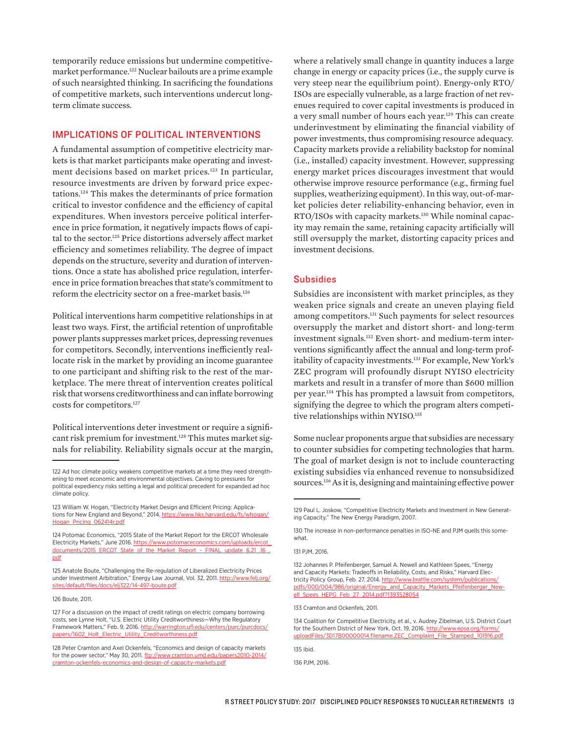temporarily reduce emissions but undermine competitivemarket performance.122 Nuclear bailouts are a prime example of such nearsighted thinking. In sacrificing the foundations of competitive markets, such interventions undercut longterm climate success.

# IMPLICATIONS OF POLITICAL INTERVENTIONS

A fundamental assumption of competitive electricity markets is that market participants make operating and investment decisions based on market prices.<sup>123</sup> In particular, resource investments are driven by forward price expectations.124 This makes the determinants of price formation critical to investor confidence and the efficiency of capital expenditures. When investors perceive political interference in price formation, it negatively impacts flows of capital to the sector.<sup>125</sup> Price distortions adversely affect market efficiency and sometimes reliability. The degree of impact depends on the structure, severity and duration of interventions. Once a state has abolished price regulation, interference in price formation breaches that state's commitment to reform the electricity sector on a free-market basis.126

Political interventions harm competitive relationships in at least two ways. First, the artificial retention of unprofitable power plants suppresses market prices, depressing revenues for competitors. Secondly, interventions inefficiently reallocate risk in the market by providing an income guarantee to one participant and shifting risk to the rest of the marketplace. The mere threat of intervention creates political risk that worsens creditworthiness and can inflate borrowing costs for competitors.127

Political interventions deter investment or require a significant risk premium for investment.<sup>128</sup> This mutes market signals for reliability. Reliability signals occur at the margin,

where a relatively small change in quantity induces a large change in energy or capacity prices (i.e., the supply curve is very steep near the equilibrium point). Energy-only RTO/ ISOs are especially vulnerable, as a large fraction of net revenues required to cover capital investments is produced in a very small number of hours each year.129 This can create underinvestment by eliminating the financial viability of power investments, thus compromising resource adequacy. Capacity markets provide a reliability backstop for nominal (i.e., installed) capacity investment. However, suppressing energy market prices discourages investment that would otherwise improve resource performance (e.g., firming fuel supplies, weatherizing equipment). In this way, out-of-market policies deter reliability-enhancing behavior, even in RTO/ISOs with capacity markets.130 While nominal capacity may remain the same, retaining capacity artificially will still oversupply the market, distorting capacity prices and investment decisions.

# **Subsidies**

Subsidies are inconsistent with market principles, as they weaken price signals and create an uneven playing field among competitors.131 Such payments for select resources oversupply the market and distort short- and long-term investment signals.132 Even short- and medium-term interventions significantly affect the annual and long-term profitability of capacity investments.133 For example, New York's ZEC program will profoundly disrupt NYISO electricity markets and result in a transfer of more than \$600 million per year.134 This has prompted a lawsuit from competitors, signifying the degree to which the program alters competitive relationships within NYISO.<sup>135</sup>

Some nuclear proponents argue that subsidies are necessary to counter subsidies for competing technologies that harm. The goal of market design is not to include counteracting existing subsidies via enhanced revenue to nonsubsidized sources.136 As it is, designing and maintaining effective power

<sup>122</sup> Ad hoc climate policy weakens competitive markets at a time they need strengthening to meet economic and environmental objectives. Caving to pressures for political expediency risks setting a legal and political precedent for expanded ad hoc climate policy.

<sup>123</sup> William W. Hogan, "Electricity Market Design and Efficient Pricing: Applications for New England and Beyond," 2014. [https://www.hks.harvard.edu/fs/whogan/](https://www.hks.harvard.edu/fs/whogan/Hogan_Pricing_062414r.pdf) [Hogan\\_Pricing\\_062414r.pdf](https://www.hks.harvard.edu/fs/whogan/Hogan_Pricing_062414r.pdf)

<sup>124</sup> Potomac Economics, "2015 State of the Market Report for the ERCOT Wholesale Electricity Markets," June 2016. [https://www.potomaceconomics.com/uploads/ercot\\_](https://www.potomaceconomics.com/uploads/ercot_documents/2015_ERCOT_State_of_the_Market_Report_-_FINAL_update_6.21_.16_.pdf) [documents/2015\\_ERCOT\\_State\\_of\\_the\\_Market\\_Report\\_-\\_FINAL\\_update\\_6.21\\_.16\\_.](https://www.potomaceconomics.com/uploads/ercot_documents/2015_ERCOT_State_of_the_Market_Report_-_FINAL_update_6.21_.16_.pdf) [pdf](https://www.potomaceconomics.com/uploads/ercot_documents/2015_ERCOT_State_of_the_Market_Report_-_FINAL_update_6.21_.16_.pdf)

<sup>125</sup> Anatole Boute, "Challenging the Re-regulation of Liberalized Electricity Prices under Investment Arbitration," Energy Law Journal, Vol. 32, 2011. [http://www.felj.org/](http://www.felj.org/sites/default/files/docs/elj322/14-497-boute.pdf) [sites/default/files/docs/elj322/14-497-boute.pdf](http://www.felj.org/sites/default/files/docs/elj322/14-497-boute.pdf)

<sup>126</sup> Boute, 2011.

<sup>127</sup> For a discussion on the impact of credit ratings on electric company borrowing costs, see Lynne Holt, "U.S. Electric Utility Creditworthiness—Why the Regulatory Framework Matters," Feb. 9, 2016. [http://warrington.ufl.edu/centers/purc/purcdocs/](http://warrington.ufl.edu/centers/purc/purcdocs/papers/1602_Holt_Electric_Utility_Creditworthiness.pdf) [papers/1602\\_Holt\\_Electric\\_Utility\\_Creditworthiness.pdf](http://warrington.ufl.edu/centers/purc/purcdocs/papers/1602_Holt_Electric_Utility_Creditworthiness.pdf)

<sup>128</sup> Peter Cramton and Axel Ockenfels, "Economics and design of capacity markets for the power sector," May 30, 2011. [ftp://www.cramton.umd.edu/papers2010-2014/](ftp://www.cramton.umd.edu/papers2010-2014/cramton-ockenfels-economics-and-design-of-capacity-markets.pdf) [cramton-ockenfels-economics-and-design-of-capacity-markets.pdf](ftp://www.cramton.umd.edu/papers2010-2014/cramton-ockenfels-economics-and-design-of-capacity-markets.pdf)

<sup>129</sup> Paul L. Joskow, "Competitive Electricity Markets and Investment in New Generating Capacity," The New Energy Paradigm, 2007.

<sup>130</sup> The increase in non-performance penalties in ISO-NE and PJM quells this somewhat.

<sup>131</sup> PJM, 2016.

<sup>132</sup> Johannes P. Pfeifenberger, Samuel A. Newell and Kathleen Spees, "Energy and Capacity Markets: Tradeoffs in Reliability, Costs, and Risks," Harvard Electricity Policy Group, Feb. 27, 2014. [http://www.brattle.com/system/publications/](http://www.brattle.com/system/publications/pdfs/000/004/986/original/Energy_and_Capacity_Markets_Pfeifenberger_Newell_Spees_HEPG_Feb_27_2014.pdf?1393528054) [pdfs/000/004/986/original/Energy\\_and\\_Capacity\\_Markets\\_Pfeifenberger\\_New](http://www.brattle.com/system/publications/pdfs/000/004/986/original/Energy_and_Capacity_Markets_Pfeifenberger_Newell_Spees_HEPG_Feb_27_2014.pdf?1393528054)[ell\\_Spees\\_HEPG\\_Feb\\_27\\_2014.pdf?1393528054](http://www.brattle.com/system/publications/pdfs/000/004/986/original/Energy_and_Capacity_Markets_Pfeifenberger_Newell_Spees_HEPG_Feb_27_2014.pdf?1393528054)

<sup>133</sup> Cramton and Ockenfels, 2011.

<sup>134</sup> Coalition for Competitive Electricity, et al., v. Audrey Zibelman, U.S. District Court for the Southern District of New York, Oct. 19, 2016. [http://www.epsa.org/forms/](http://www.epsa.org/forms/uploadFiles/3D17B00000014.filename.ZEC_Complaint_File_Stamped_101916.pdf) [uploadFiles/3D17B00000014.filename.ZEC\\_Complaint\\_File\\_Stamped\\_101916.pdf](http://www.epsa.org/forms/uploadFiles/3D17B00000014.filename.ZEC_Complaint_File_Stamped_101916.pdf)

<sup>135</sup> Ibid.

<sup>136</sup> PJM, 2016.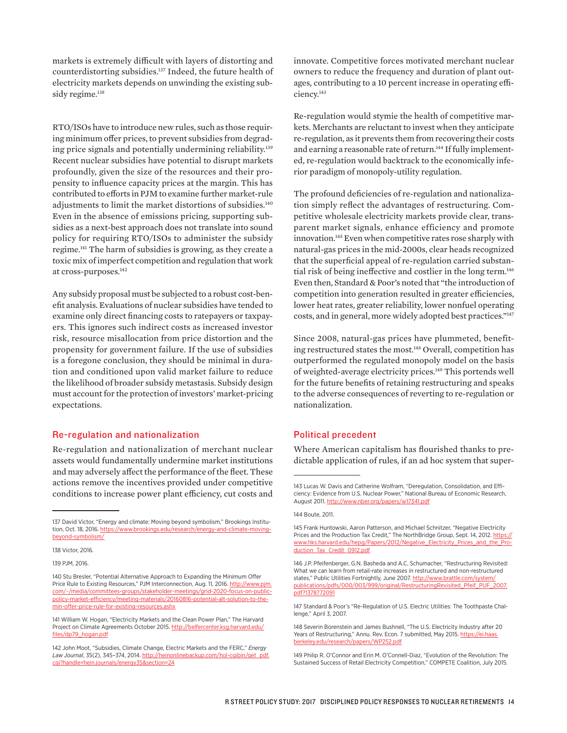markets is extremely difficult with layers of distorting and counterdistorting subsidies.137 Indeed, the future health of electricity markets depends on unwinding the existing subsidy regime.<sup>138</sup>

RTO/ISOs have to introduce new rules, such as those requiring minimum offer prices, to prevent subsidies from degrading price signals and potentially undermining reliability.139 Recent nuclear subsidies have potential to disrupt markets profoundly, given the size of the resources and their propensity to influence capacity prices at the margin. This has contributed to efforts in PJM to examine further market-rule adjustments to limit the market distortions of subsidies.<sup>140</sup> Even in the absence of emissions pricing, supporting subsidies as a next-best approach does not translate into sound policy for requiring RTO/ISOs to administer the subsidy regime.141 The harm of subsidies is growing, as they create a toxic mix of imperfect competition and regulation that work at cross-purposes.<sup>142</sup>

Any subsidy proposal must be subjected to a robust cost-benefit analysis. Evaluations of nuclear subsidies have tended to examine only direct financing costs to ratepayers or taxpayers. This ignores such indirect costs as increased investor risk, resource misallocation from price distortion and the propensity for government failure. If the use of subsidies is a foregone conclusion, they should be minimal in duration and conditioned upon valid market failure to reduce the likelihood of broader subsidy metastasis. Subsidy design must account for the protection of investors' market-pricing expectations.

## Re-regulation and nationalization

Re-regulation and nationalization of merchant nuclear assets would fundamentally undermine market institutions and may adversely affect the performance of the fleet. These actions remove the incentives provided under competitive conditions to increase power plant efficiency, cut costs and

innovate. Competitive forces motivated merchant nuclear owners to reduce the frequency and duration of plant outages, contributing to a 10 percent increase in operating efficiency.143

Re-regulation would stymie the health of competitive markets. Merchants are reluctant to invest when they anticipate re-regulation, as it prevents them from recovering their costs and earning a reasonable rate of return.<sup>144</sup> If fully implemented, re-regulation would backtrack to the economically inferior paradigm of monopoly-utility regulation.

The profound deficiencies of re-regulation and nationalization simply reflect the advantages of restructuring. Competitive wholesale electricity markets provide clear, transparent market signals, enhance efficiency and promote innovation.145 Even when competitive rates rose sharply with natural-gas prices in the mid-2000s, clear heads recognized that the superficial appeal of re-regulation carried substantial risk of being ineffective and costlier in the long term.<sup>146</sup> Even then, Standard & Poor's noted that "the introduction of competition into generation resulted in greater efficiencies, lower heat rates, greater reliability, lower nonfuel operating costs, and in general, more widely adopted best practices."147

Since 2008, natural-gas prices have plummeted, benefiting restructured states the most.<sup>148</sup> Overall, competition has outperformed the regulated monopoly model on the basis of weighted-average electricity prices.149 This portends well for the future benefits of retaining restructuring and speaks to the adverse consequences of reverting to re-regulation or nationalization.

## Political precedent

Where American capitalism has flourished thanks to predictable application of rules, if an ad hoc system that super-

<sup>137</sup> David Victor, "Energy and climate: Moving beyond symbolism," Brookings Institution, Oct. 18, 2016. [https://www.brookings.edu/research/energy-and-climate-moving](https://www.brookings.edu/research/energy-and-climate-moving-beyond-symbolism/)[beyond-symbolism/](https://www.brookings.edu/research/energy-and-climate-moving-beyond-symbolism/)

<sup>138</sup> Victor, 2016.

<sup>139</sup> PJM, 2016.

<sup>140</sup> Stu Bresler, "Potential Alternative Approach to Expanding the Minimum Offer Price Rule to Existing Resources," PJM Interconnection, Aug. 11, 2016. [http://www.pjm.](http://www.pjm.com/~/media/committees-groups/stakeholder-meetings/grid-2020-focus-on-public-policy-market-efficiency/meeting-materials/20160816-potential-alt-solution-to-the-min-offer-price-rule-for-existing-resources.ashx) [com/~/media/committees-groups/stakeholder-meetings/grid-2020-focus-on-public](http://www.pjm.com/~/media/committees-groups/stakeholder-meetings/grid-2020-focus-on-public-policy-market-efficiency/meeting-materials/20160816-potential-alt-solution-to-the-min-offer-price-rule-for-existing-resources.ashx)[policy-market-efficiency/meeting-materials/20160816-potential-alt-solution-to-the](http://www.pjm.com/~/media/committees-groups/stakeholder-meetings/grid-2020-focus-on-public-policy-market-efficiency/meeting-materials/20160816-potential-alt-solution-to-the-min-offer-price-rule-for-existing-resources.ashx)[min-offer-price-rule-for-existing-resources.ashx](http://www.pjm.com/~/media/committees-groups/stakeholder-meetings/grid-2020-focus-on-public-policy-market-efficiency/meeting-materials/20160816-potential-alt-solution-to-the-min-offer-price-rule-for-existing-resources.ashx)

<sup>141</sup> William W. Hogan, "Electricity Markets and the Clean Power Plan," The Harvard Project on Climate Agreements October 2015. [http://belfercenter.ksg.harvard.edu/](http://belfercenter.ksg.harvard.edu/files/dp79_hogan.pdf) [files/dp79\\_hogan.pdf](http://belfercenter.ksg.harvard.edu/files/dp79_hogan.pdf)

<sup>142</sup> John Moot, "Subsidies, Climate Change, Electric Markets and the FERC," *Energy Law Journal*, 35(2), 345–374, 2014. [http://heinonlinebackup.com/hol-cgibin/get\\_pdf.](http://heinonlinebackup.com/hol-cgibin/get_pdf.cgi?handle=hein.journals/energy35§ion=24) [cgi?handle=hein.journals/energy35&section=24](http://heinonlinebackup.com/hol-cgibin/get_pdf.cgi?handle=hein.journals/energy35§ion=24)

<sup>143</sup> Lucas W. Davis and Catherine Wolfram, "Deregulation, Consolidation, and Efficiency: Evidence from U.S. Nuclear Power," National Bureau of Economic Research, August 2011.<http://www.nber.org/papers/w17341.pdf>

<sup>144</sup> Boute, 2011.

<sup>145</sup> Frank Huntowski, Aaron Patterson, and Michael Schnitzer, "Negative Electricity Prices and the Production Tax Credit," The NorthBridge Group, Sept. 14, 2012. [https://](https://www.hks.harvard.edu/hepg/Papers/2012/Negative_Electricity_Prices_and_the_Production_Tax_Credit_0912.pdf) [www.hks.harvard.edu/hepg/Papers/2012/Negative\\_Electricity\\_Prices\\_and\\_the\\_Pro](https://www.hks.harvard.edu/hepg/Papers/2012/Negative_Electricity_Prices_and_the_Production_Tax_Credit_0912.pdf)[duction\\_Tax\\_Credit\\_0912.pdf](https://www.hks.harvard.edu/hepg/Papers/2012/Negative_Electricity_Prices_and_the_Production_Tax_Credit_0912.pdf)

<sup>146</sup> J.P. Pfeifenberger, G.N. Basheda and A.C. Schumacher, "Restructuring Revisited: What we can learn from retail-rate increases in restructured and non-restructured states," Public Utilities Fortnightly, June 2007. [http://www.brattle.com/system/](http://www.brattle.com/system/publications/pdfs/000/003/999/original/RestructuringRevisited_Pfeif_PUF_2007.pdf?1378772091) [publications/pdfs/000/003/999/original/RestructuringRevisited\\_Pfeif\\_PUF\\_2007.](http://www.brattle.com/system/publications/pdfs/000/003/999/original/RestructuringRevisited_Pfeif_PUF_2007.pdf?1378772091) [pdf?1378772091](http://www.brattle.com/system/publications/pdfs/000/003/999/original/RestructuringRevisited_Pfeif_PUF_2007.pdf?1378772091)

<sup>147</sup> Standard & Poor's "Re-Regulation of U.S. Electric Utilities: The Toothpaste Challenge," April 3, 2007.

<sup>148</sup> Severin Borenstein and James Bushnell, "The U.S. Electricity Industry after 20 Years of Restructuring," Annu. Rev. Econ. 7 submitted, May 2015. https://ei.haas [berkeley.edu/research/papers/WP252.pdf](https://ei.haas.berkeley.edu/research/papers/WP252.pdf)

<sup>149</sup> Philip R. O'Connor and Erin M. O'Connell-Diaz, "Evolution of the Revolution: The Sustained Success of Retail Electricity Competition," COMPETE Coalition, July 2015.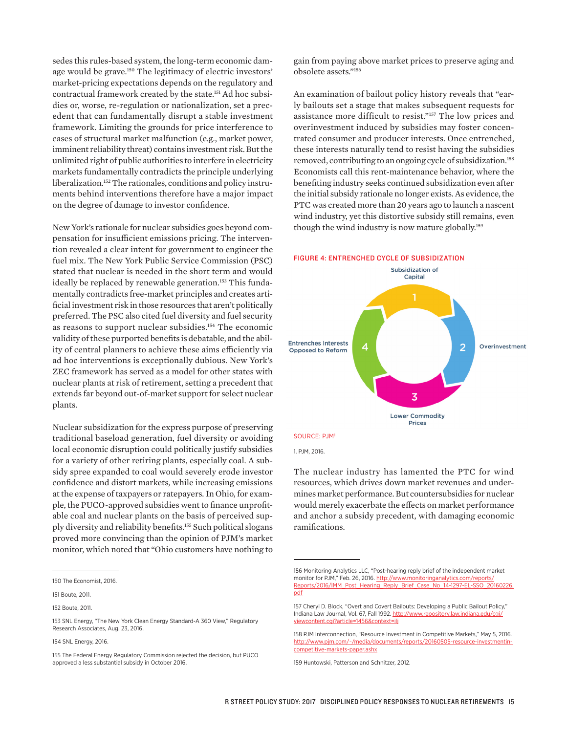sedes this rules-based system, the long-term economic damage would be grave.150 The legitimacy of electric investors' market-pricing expectations depends on the regulatory and contractual framework created by the state.151 Ad hoc subsidies or, worse, re-regulation or nationalization, set a precedent that can fundamentally disrupt a stable investment framework. Limiting the grounds for price interference to cases of structural market malfunction (e.g., market power, imminent reliability threat) contains investment risk. But the unlimited right of public authorities to interfere in electricity markets fundamentally contradicts the principle underlying liberalization.152 The rationales, conditions and policy instruments behind interventions therefore have a major impact on the degree of damage to investor confidence.

New York's rationale for nuclear subsidies goes beyond compensation for insufficient emissions pricing. The intervention revealed a clear intent for government to engineer the fuel mix. The New York Public Service Commission (PSC) stated that nuclear is needed in the short term and would ideally be replaced by renewable generation.<sup>153</sup> This fundamentally contradicts free-market principles and creates artificial investment risk in those resources that aren't politically preferred. The PSC also cited fuel diversity and fuel security as reasons to support nuclear subsidies.<sup>154</sup> The economic validity of these purported benefits is debatable, and the ability of central planners to achieve these aims efficiently via ad hoc interventions is exceptionally dubious. New York's ZEC framework has served as a model for other states with nuclear plants at risk of retirement, setting a precedent that extends far beyond out-of-market support for select nuclear plants.

Nuclear subsidization for the express purpose of preserving traditional baseload generation, fuel diversity or avoiding local economic disruption could politically justify subsidies for a variety of other retiring plants, especially coal. A subsidy spree expanded to coal would severely erode investor confidence and distort markets, while increasing emissions at the expense of taxpayers or ratepayers. In Ohio, for example, the PUCO-approved subsidies went to finance unprofitable coal and nuclear plants on the basis of perceived supply diversity and reliability benefits.155 Such political slogans proved more convincing than the opinion of PJM's market monitor, which noted that "Ohio customers have nothing to

gain from paying above market prices to preserve aging and obsolete assets."156

An examination of bailout policy history reveals that "early bailouts set a stage that makes subsequent requests for assistance more difficult to resist."157 The low prices and overinvestment induced by subsidies may foster concentrated consumer and producer interests. Once entrenched, these interests naturally tend to resist having the subsidies removed, contributing to an ongoing cycle of subsidization.158 Economists call this rent-maintenance behavior, where the benefiting industry seeks continued subsidization even after the initial subsidy rationale no longer exists. As evidence, the PTC was created more than 20 years ago to launch a nascent wind industry, yet this distortive subsidy still remains, even though the wind industry is now mature globally.<sup>159</sup>





1. PJM, 2016.

The nuclear industry has lamented the PTC for wind resources, which drives down market revenues and undermines market performance. But countersubsidies for nuclear would merely exacerbate the effects on market performance and anchor a subsidy precedent, with damaging economic ramifications.

<sup>150</sup> The Economist, 2016.

<sup>151</sup> Boute, 2011.

<sup>152</sup> Boute, 2011.

<sup>153</sup> SNL Energy, "The New York Clean Energy Standard-A 360 View," Regulatory Research Associates, Aug. 23, 2016.

<sup>154</sup> SNL Energy, 2016.

<sup>155</sup> The Federal Energy Regulatory Commission rejected the decision, but PUCO approved a less substantial subsidy in October 2016.

<sup>156</sup> Monitoring Analytics LLC, "Post-hearing reply brief of the independent market monitor for PJM," Feb. 26, 2016. [http://www.monitoringanalytics.com/reports/](http://www.monitoringanalytics.com/reports/Reports/2016/IMM_Post_Hearing_Reply_Brief_Case_No_14-1297-EL-SSO_20160226.pdf) [Reports/2016/IMM\\_Post\\_Hearing\\_Reply\\_Brief\\_Case\\_No\\_14-1297-EL-SSO\\_20160226.](http://www.monitoringanalytics.com/reports/Reports/2016/IMM_Post_Hearing_Reply_Brief_Case_No_14-1297-EL-SSO_20160226.pdf) [pdf](http://www.monitoringanalytics.com/reports/Reports/2016/IMM_Post_Hearing_Reply_Brief_Case_No_14-1297-EL-SSO_20160226.pdf)

<sup>157</sup> Cheryl D. Block, "Overt and Covert Bailouts: Developing a Public Bailout Policy," Indiana Law Journal, Vol. 67, Fall 1992. [http://www.repository.law.indiana.edu/cgi/](http://www.repository.law.indiana.edu/cgi/viewcontent.cgi?article=1456&context=ilj) [viewcontent.cgi?article=1456&context=ilj](http://www.repository.law.indiana.edu/cgi/viewcontent.cgi?article=1456&context=ilj)

<sup>158</sup> PJM Interconnection, "Resource Investment in Competitive Markets," May 5, 2016. [http://www.pjm.com/~/media/documents/reports/20160505-resource-investmentin](http://www.pjm.com/~/media/documents/reports/20160505-resource-investmentin-competitive-markets-paper.ashx)[competitive-markets-paper.ashx](http://www.pjm.com/~/media/documents/reports/20160505-resource-investmentin-competitive-markets-paper.ashx)

<sup>159</sup> Huntowski, Patterson and Schnitzer, 2012.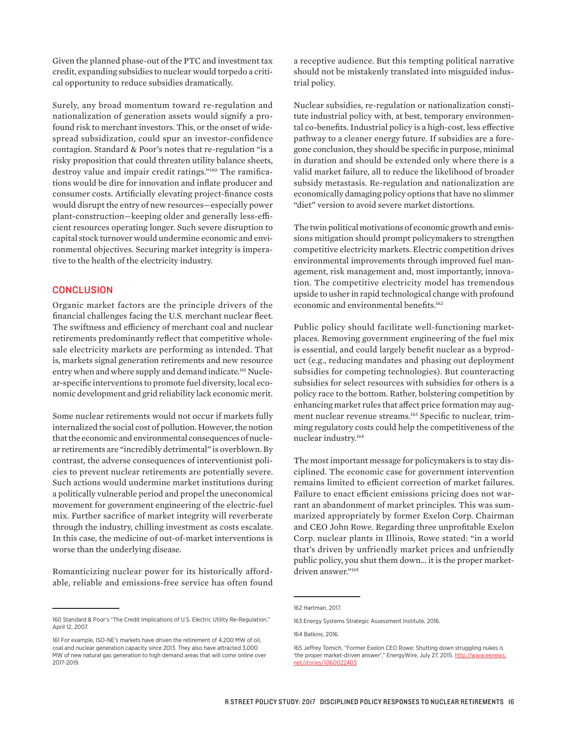Given the planned phase-out of the PTC and investment tax credit, expanding subsidies to nuclear would torpedo a critical opportunity to reduce subsidies dramatically.

Surely, any broad momentum toward re-regulation and nationalization of generation assets would signify a profound risk to merchant investors. This, or the onset of widespread subsidization, could spur an investor-confidence contagion. Standard & Poor's notes that re-regulation "is a risky proposition that could threaten utility balance sheets, destroy value and impair credit ratings."160 The ramifications would be dire for innovation and inflate producer and consumer costs. Artificially elevating project-finance costs would disrupt the entry of new resources—especially power plant-construction—keeping older and generally less-efficient resources operating longer. Such severe disruption to capital stock turnover would undermine economic and environmental objectives. Securing market integrity is imperative to the health of the electricity industry.

# **CONCLUSION**

Organic market factors are the principle drivers of the financial challenges facing the U.S. merchant nuclear fleet. The swiftness and efficiency of merchant coal and nuclear retirements predominantly reflect that competitive wholesale electricity markets are performing as intended. That is, markets signal generation retirements and new resource entry when and where supply and demand indicate.<sup>161</sup> Nuclear-specific interventions to promote fuel diversity, local economic development and grid reliability lack economic merit.

Some nuclear retirements would not occur if markets fully internalized the social cost of pollution. However, the notion that the economic and environmental consequences of nuclear retirements are "incredibly detrimental" is overblown. By contrast, the adverse consequences of interventionist policies to prevent nuclear retirements are potentially severe. Such actions would undermine market institutions during a politically vulnerable period and propel the uneconomical movement for government engineering of the electric-fuel mix. Further sacrifice of market integrity will reverberate through the industry, chilling investment as costs escalate. In this case, the medicine of out-of-market interventions is worse than the underlying disease.

Romanticizing nuclear power for its historically affordable, reliable and emissions-free service has often found

a receptive audience. But this tempting political narrative should not be mistakenly translated into misguided industrial policy.

Nuclear subsidies, re-regulation or nationalization constitute industrial policy with, at best, temporary environmental co-benefits. Industrial policy is a high-cost, less effective pathway to a cleaner energy future. If subsidies are a foregone conclusion, they should be specific in purpose, minimal in duration and should be extended only where there is a valid market failure, all to reduce the likelihood of broader subsidy metastasis. Re-regulation and nationalization are economically damaging policy options that have no slimmer "diet" version to avoid severe market distortions.

The twin political motivations of economic growth and emissions mitigation should prompt policymakers to strengthen competitive electricity markets. Electric competition drives environmental improvements through improved fuel management, risk management and, most importantly, innovation. The competitive electricity model has tremendous upside to usher in rapid technological change with profound economic and environmental benefits.<sup>162</sup>

Public policy should facilitate well-functioning marketplaces. Removing government engineering of the fuel mix is essential, and could largely benefit nuclear as a byproduct (e.g., reducing mandates and phasing out deployment subsidies for competing technologies). But counteracting subsidies for select resources with subsidies for others is a policy race to the bottom. Rather, bolstering competition by enhancing market rules that affect price formation may augment nuclear revenue streams.<sup>163</sup> Specific to nuclear, trimming regulatory costs could help the competitiveness of the nuclear industry.164

The most important message for policymakers is to stay disciplined. The economic case for government intervention remains limited to efficient correction of market failures. Failure to enact efficient emissions pricing does not warrant an abandonment of market principles. This was summarized appropriately by former Exelon Corp. Chairman and CEO John Rowe. Regarding three unprofitable Exelon Corp. nuclear plants in Illinois, Rowe stated: "in a world that's driven by unfriendly market prices and unfriendly public policy, you shut them down… it is the proper marketdriven answer."165

<sup>160</sup> Standard & Poor's "The Credit Implications of U.S. Electric Utility Re-Regulation," April 12, 2007.

<sup>161</sup> For example, ISO-NE's markets have driven the retirement of 4,200 MW of oil, coal and nuclear generation capacity since 2013. They also have attracted 3,000 MW of new natural gas generation to high demand areas that will come online over 2017-2019.

<sup>162</sup> Hartman, 2017.

<sup>163</sup> Energy Systems Strategic Assessment Institute, 2016.

<sup>164</sup> Batkins, 2016.

<sup>165</sup> Jeffrey Tomich, "Former Exelon CEO Rowe: Shutting down struggling nukes is 'the proper market-driven answer'," EnergyWire, July 27, 2015. [http://www.eenews.](http://www.eenews.net/stories/1060022403) [net/stories/1060022403](http://www.eenews.net/stories/1060022403)